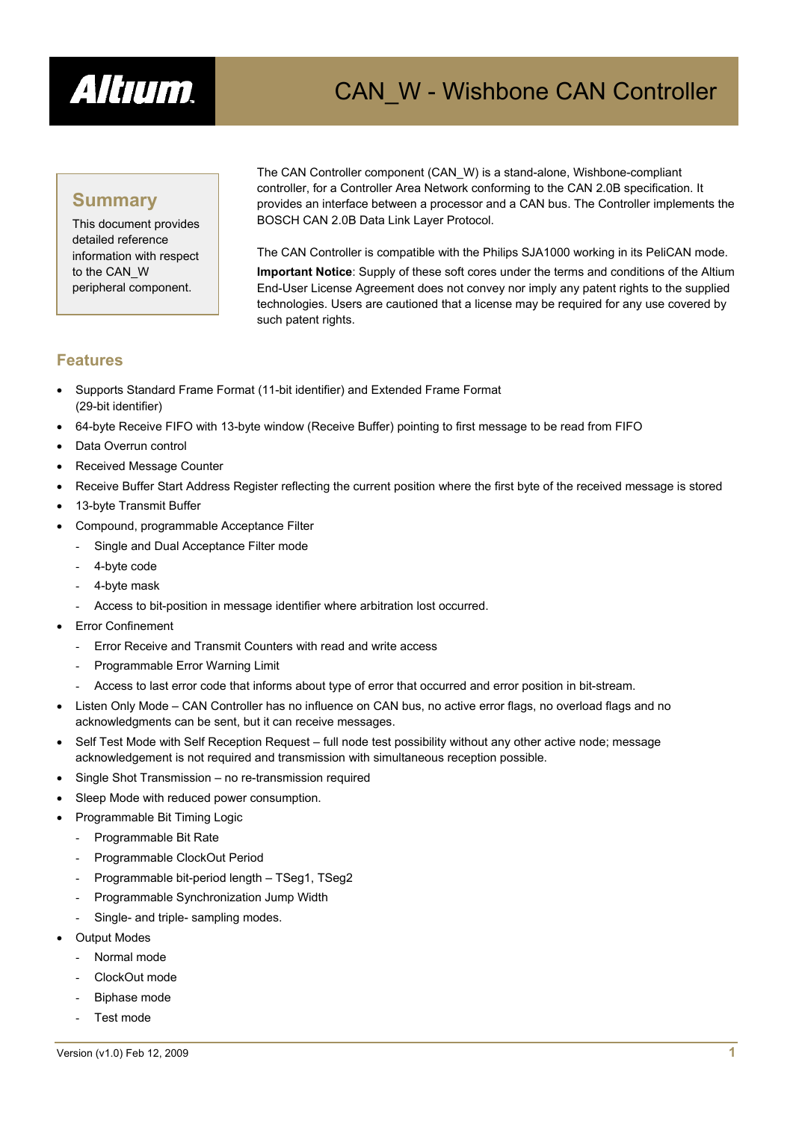

## **Summary**

This document provides detailed reference information with respect to the CAN\_W peripheral component.

The CAN Controller component (CAN\_W) is a stand-alone, Wishbone-compliant controller, for a Controller Area Network conforming to the CAN 2.0B specification. It provides an interface between a processor and a CAN bus. The Controller implements the BOSCH CAN 2.0B Data Link Layer Protocol.

The CAN Controller is compatible with the Philips SJA1000 working in its PeliCAN mode.

**Important Notice**: Supply of these soft cores under the terms and conditions of the Altium End-User License Agreement does not convey nor imply any patent rights to the supplied technologies. Users are cautioned that a license may be required for any use covered by such patent rights.

## **Features**

- Supports Standard Frame Format (11-bit identifier) and Extended Frame Format (29-bit identifier)
- 64-byte Receive FIFO with 13-byte window (Receive Buffer) pointing to first message to be read from FIFO
- Data Overrun control
- Received Message Counter
- Receive Buffer Start Address Register reflecting the current position where the first byte of the received message is stored
- 13-byte Transmit Buffer
- Compound, programmable Acceptance Filter
	- Single and Dual Acceptance Filter mode
	- 4-byte code
	- 4-byte mask
	- Access to bit-position in message identifier where arbitration lost occurred.
- Error Confinement
	- Error Receive and Transmit Counters with read and write access
	- Programmable Error Warning Limit
	- Access to last error code that informs about type of error that occurred and error position in bit-stream.
- Listen Only Mode CAN Controller has no influence on CAN bus, no active error flags, no overload flags and no acknowledgments can be sent, but it can receive messages.
- Self Test Mode with Self Reception Request full node test possibility without any other active node; message acknowledgement is not required and transmission with simultaneous reception possible.
- Single Shot Transmission no re-transmission required
- Sleep Mode with reduced power consumption.
- Programmable Bit Timing Logic
	- Programmable Bit Rate
	- Programmable ClockOut Period
	- Programmable bit-period length TSeg1, TSeg2
	- Programmable Synchronization Jump Width
	- Single- and triple- sampling modes.
- **Output Modes** 
	- Normal mode
	- ClockOut mode
	- Biphase mode
	- Test mode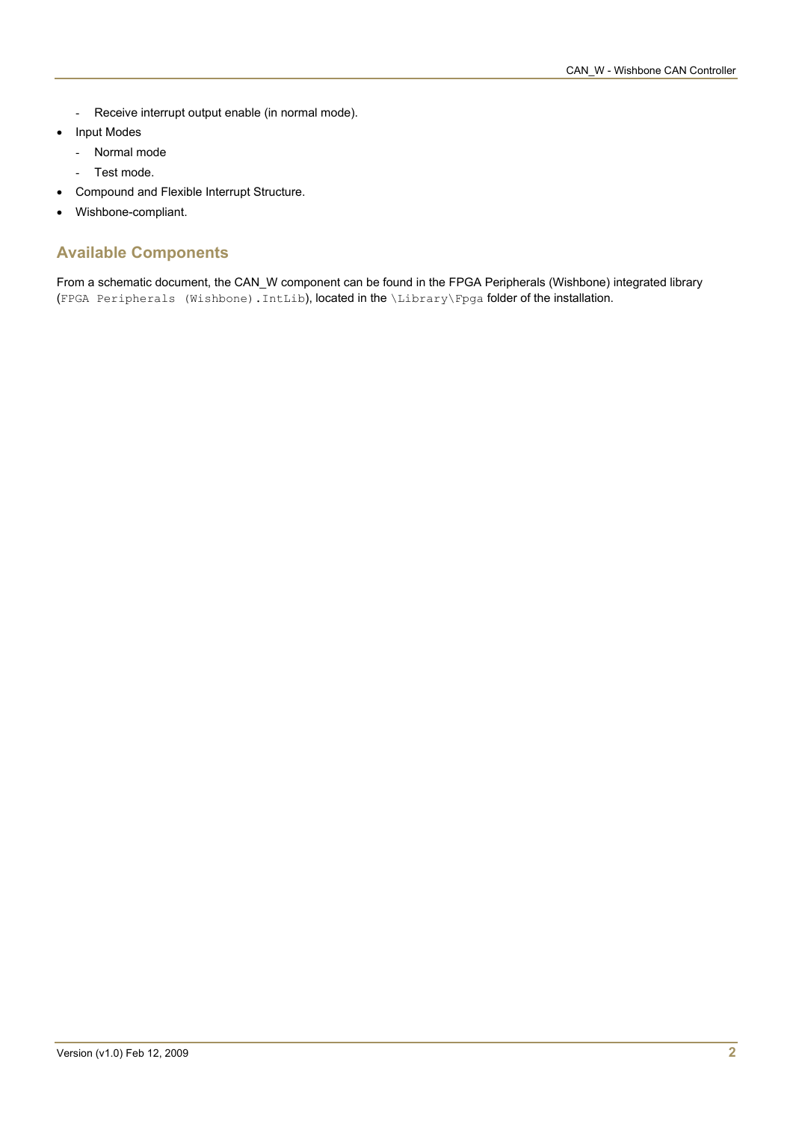- Receive interrupt output enable (in normal mode).
- Input Modes
	- Normal mode
	- Test mode.
- Compound and Flexible Interrupt Structure.
- Wishbone-compliant.

## **Available Components**

From a schematic document, the CAN\_W component can be found in the FPGA Peripherals (Wishbone) integrated library (FPGA Peripherals (Wishbone).IntLib), located in the \Library\Fpga folder of the installation.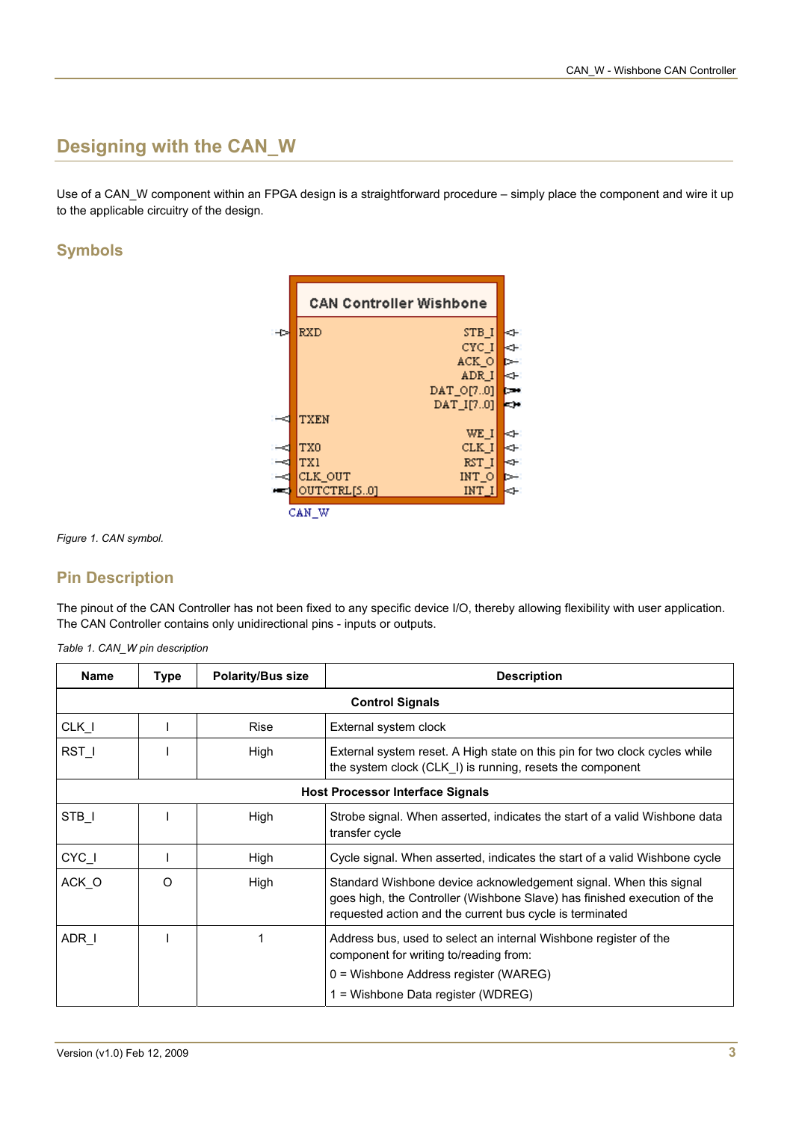# **Designing with the CAN\_W**

Use of a CAN\_W component within an FPGA design is a straightforward procedure – simply place the component and wire it up to the applicable circuitry of the design.

## **Symbols**



*Figure 1. CAN symbol.* 

## **Pin Description**

The pinout of the CAN Controller has not been fixed to any specific device I/O, thereby allowing flexibility with user application. The CAN Controller contains only unidirectional pins - inputs or outputs.

*Table 1. CAN\_W pin description* 

| <b>Name</b> | Type | <b>Polarity/Bus size</b> | <b>Description</b>                                                                                                                                                                                        |
|-------------|------|--------------------------|-----------------------------------------------------------------------------------------------------------------------------------------------------------------------------------------------------------|
|             |      |                          | <b>Control Signals</b>                                                                                                                                                                                    |
| CLK I       |      | <b>Rise</b>              | External system clock                                                                                                                                                                                     |
| RST I       |      | High                     | External system reset. A High state on this pin for two clock cycles while<br>the system clock (CLK_I) is running, resets the component                                                                   |
|             |      |                          | <b>Host Processor Interface Signals</b>                                                                                                                                                                   |
| STB_I       |      | High                     | Strobe signal. When asserted, indicates the start of a valid Wishbone data<br>transfer cycle                                                                                                              |
| $CYC_$      |      | High                     | Cycle signal. When asserted, indicates the start of a valid Wishbone cycle                                                                                                                                |
| ACKO        | O    | High                     | Standard Wishbone device acknowledgement signal. When this signal<br>goes high, the Controller (Wishbone Slave) has finished execution of the<br>requested action and the current bus cycle is terminated |
| ADR I       |      |                          | Address bus, used to select an internal Wishbone register of the<br>component for writing to/reading from:<br>0 = Wishbone Address register (WAREG)                                                       |
|             |      |                          | 1 = Wishbone Data register (WDREG)                                                                                                                                                                        |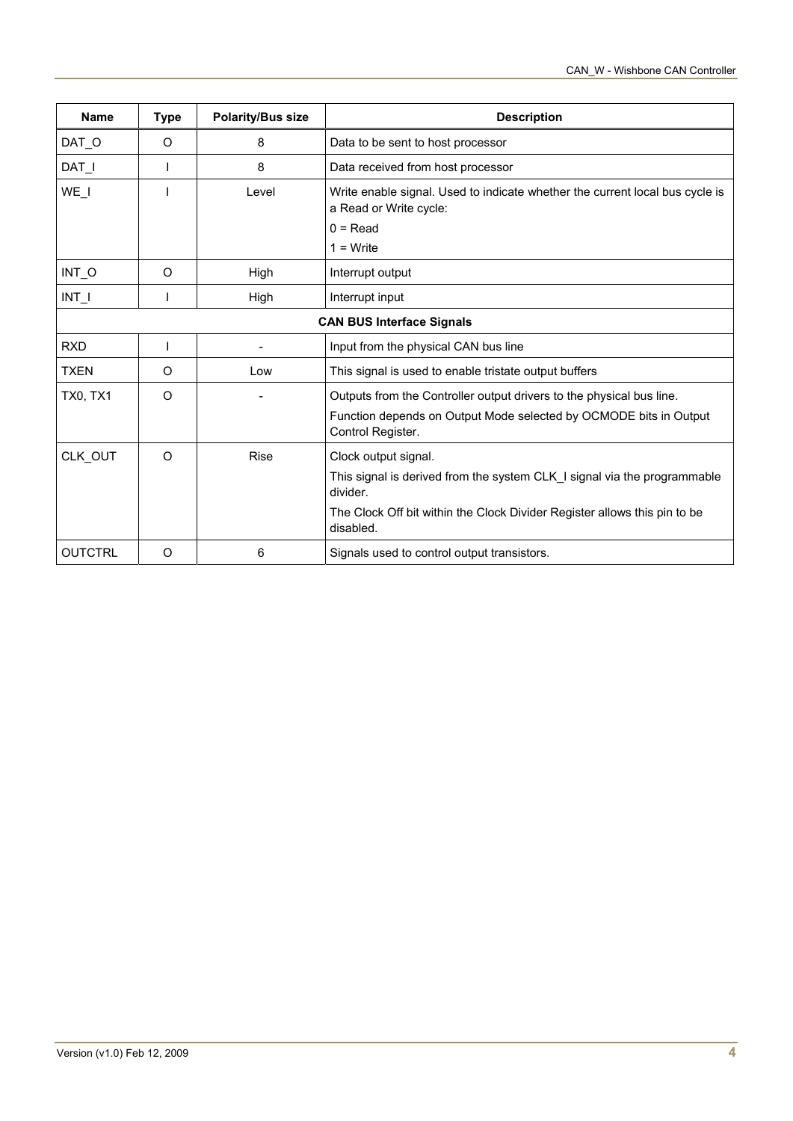| <b>Name</b>      | <b>Type</b> | <b>Polarity/Bus size</b> | <b>Description</b>                                                                                     |
|------------------|-------------|--------------------------|--------------------------------------------------------------------------------------------------------|
| DAT <sub>O</sub> | O           | 8                        | Data to be sent to host processor                                                                      |
| $DATA_l$         | I           | 8                        | Data received from host processor                                                                      |
| WE_I             |             | Level                    | Write enable signal. Used to indicate whether the current local bus cycle is<br>a Read or Write cycle: |
|                  |             |                          | $0 = Read$                                                                                             |
|                  |             |                          | $1 = Write$                                                                                            |
| $INT_0$          | O           | High                     | Interrupt output                                                                                       |
| INT I            | I           | High                     | Interrupt input                                                                                        |
|                  |             |                          | <b>CAN BUS Interface Signals</b>                                                                       |
| <b>RXD</b>       | L           |                          | Input from the physical CAN bus line                                                                   |
| <b>TXEN</b>      | O           | Low                      | This signal is used to enable tristate output buffers                                                  |
| <b>TX0, TX1</b>  | O           |                          | Outputs from the Controller output drivers to the physical bus line.                                   |
|                  |             |                          | Function depends on Output Mode selected by OCMODE bits in Output<br>Control Register.                 |
| CLK_OUT          | O           | <b>Rise</b>              | Clock output signal.                                                                                   |
|                  |             |                          | This signal is derived from the system CLK I signal via the programmable<br>divider.                   |
|                  |             |                          | The Clock Off bit within the Clock Divider Register allows this pin to be<br>disabled.                 |
| <b>OUTCTRL</b>   | O           | 6                        | Signals used to control output transistors.                                                            |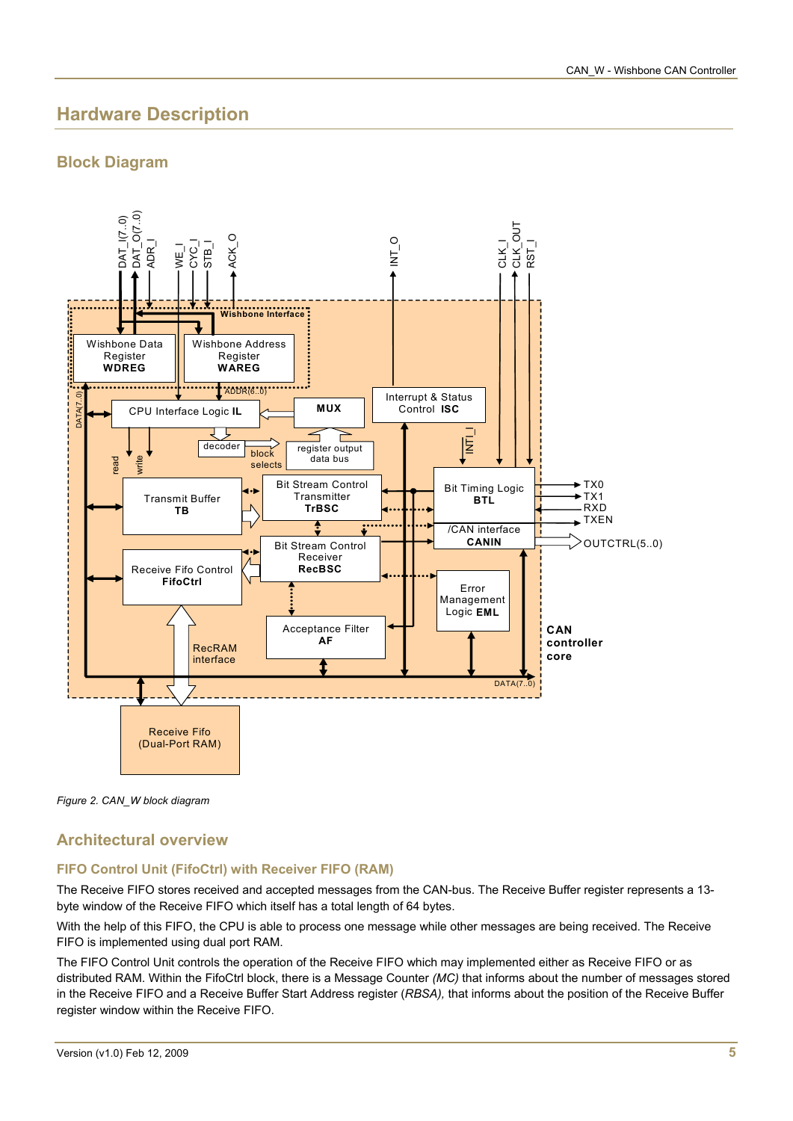# **Hardware Description**

## **Block Diagram**





## **Architectural overview**

## **FIFO Control Unit (FifoCtrl) with Receiver FIFO (RAM)**

The Receive FIFO stores received and accepted messages from the CAN-bus. The Receive Buffer register represents a 13 byte window of the Receive FIFO which itself has a total length of 64 bytes.

With the help of this FIFO, the CPU is able to process one message while other messages are being received. The Receive FIFO is implemented using dual port RAM.

The FIFO Control Unit controls the operation of the Receive FIFO which may implemented either as Receive FIFO or as distributed RAM. Within the FifoCtrl block, there is a Message Counter *(MC)* that informs about the number of messages stored in the Receive FIFO and a Receive Buffer Start Address register (*RBSA),* that informs about the position of the Receive Buffer register window within the Receive FIFO.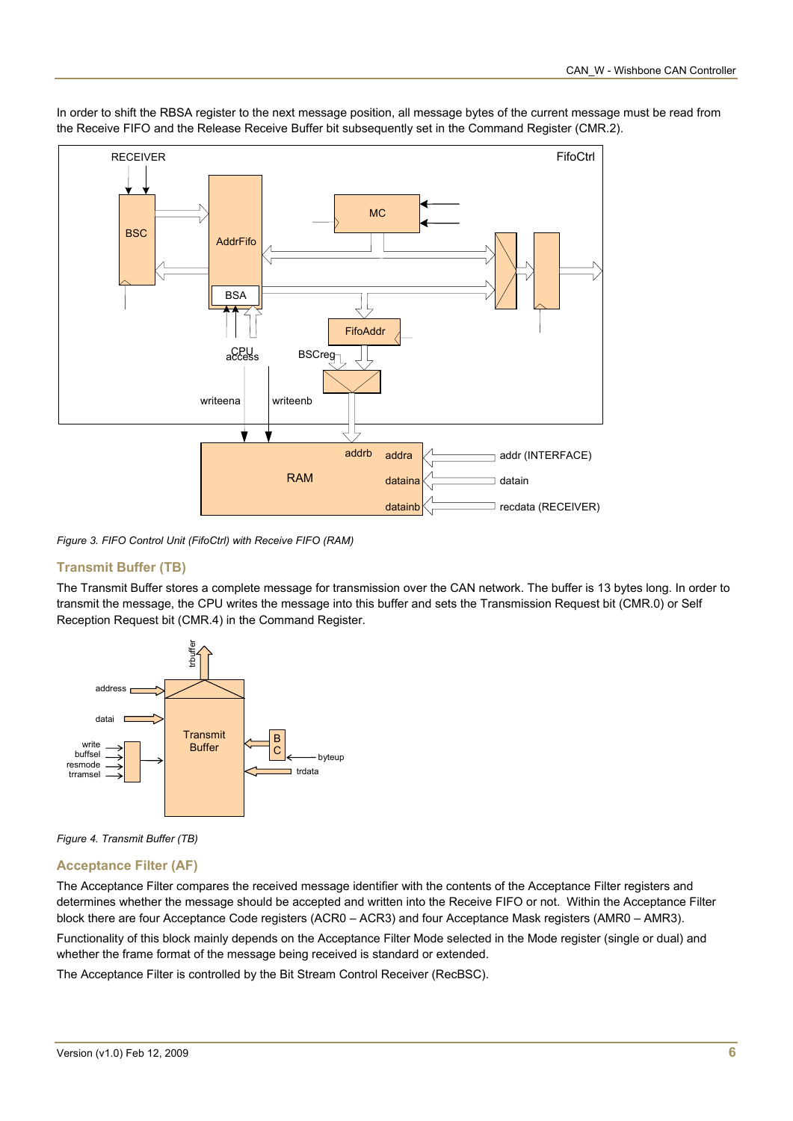

In order to shift the RBSA register to the next message position, all message bytes of the current message must be read from the Receive FIFO and the Release Receive Buffer bit subsequently set in the Command Register (CMR.2).

*Figure 3. FIFO Control Unit (FifoCtrl) with Receive FIFO (RAM)* 

## **Transmit Buffer (TB)**

The Transmit Buffer stores a complete message for transmission over the CAN network. The buffer is 13 bytes long. In order to transmit the message, the CPU writes the message into this buffer and sets the Transmission Request bit (CMR.0) or Self Reception Request bit (CMR.4) in the Command Register.



*Figure 4. Transmit Buffer (TB)* 

## **Acceptance Filter (AF)**

The Acceptance Filter compares the received message identifier with the contents of the Acceptance Filter registers and determines whether the message should be accepted and written into the Receive FIFO or not. Within the Acceptance Filter block there are four Acceptance Code registers (ACR0 – ACR3) and four Acceptance Mask registers (AMR0 – AMR3). Functionality of this block mainly depends on the Acceptance Filter Mode selected in the Mode register (single or dual) and whether the frame format of the message being received is standard or extended.

The Acceptance Filter is controlled by the Bit Stream Control Receiver (RecBSC).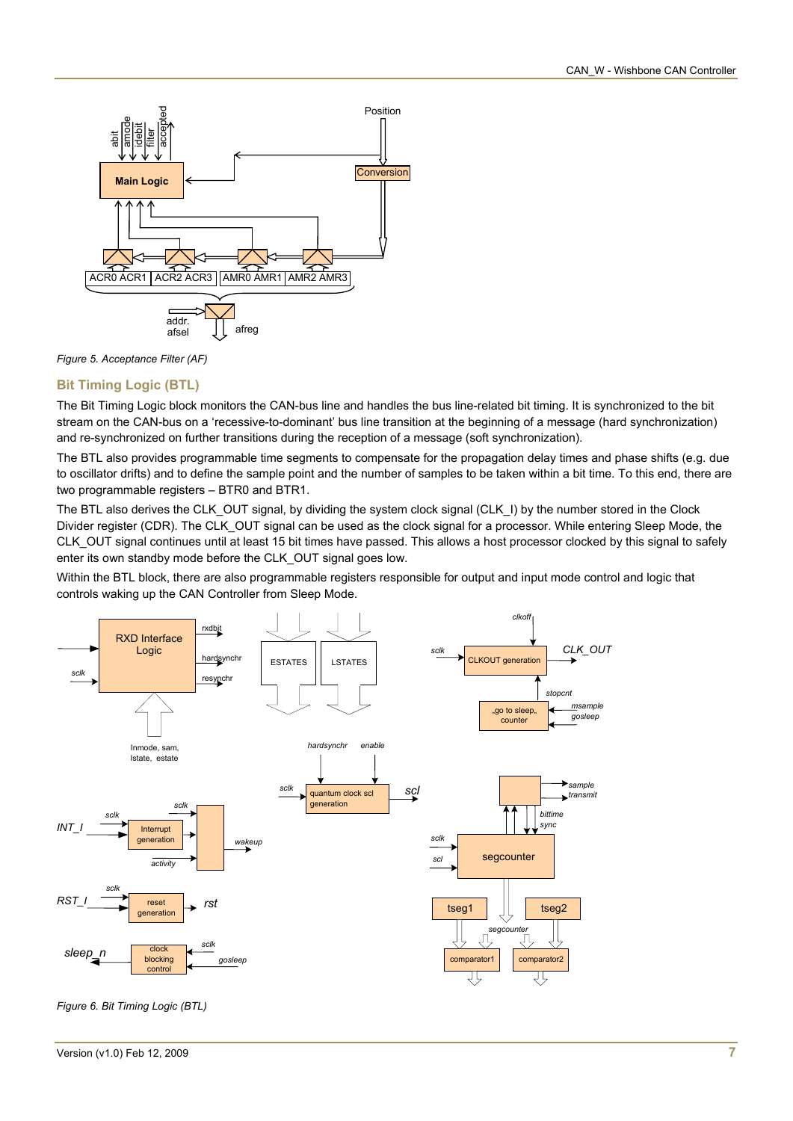

*Figure 5. Acceptance Filter (AF)* 

## **Bit Timing Logic (BTL)**

The Bit Timing Logic block monitors the CAN-bus line and handles the bus line-related bit timing. It is synchronized to the bit stream on the CAN-bus on a 'recessive-to-dominant' bus line transition at the beginning of a message (hard synchronization) and re-synchronized on further transitions during the reception of a message (soft synchronization).

The BTL also provides programmable time segments to compensate for the propagation delay times and phase shifts (e.g. due to oscillator drifts) and to define the sample point and the number of samples to be taken within a bit time. To this end, there are two programmable registers – BTR0 and BTR1.

The BTL also derives the CLK\_OUT signal, by dividing the system clock signal (CLK\_I) by the number stored in the Clock Divider register (CDR). The CLK OUT signal can be used as the clock signal for a processor. While entering Sleep Mode, the CLK\_OUT signal continues until at least 15 bit times have passed. This allows a host processor clocked by this signal to safely enter its own standby mode before the CLK\_OUT signal goes low.

Within the BTL block, there are also programmable registers responsible for output and input mode control and logic that controls waking up the CAN Controller from Sleep Mode.



*Figure 6. Bit Timing Logic (BTL)*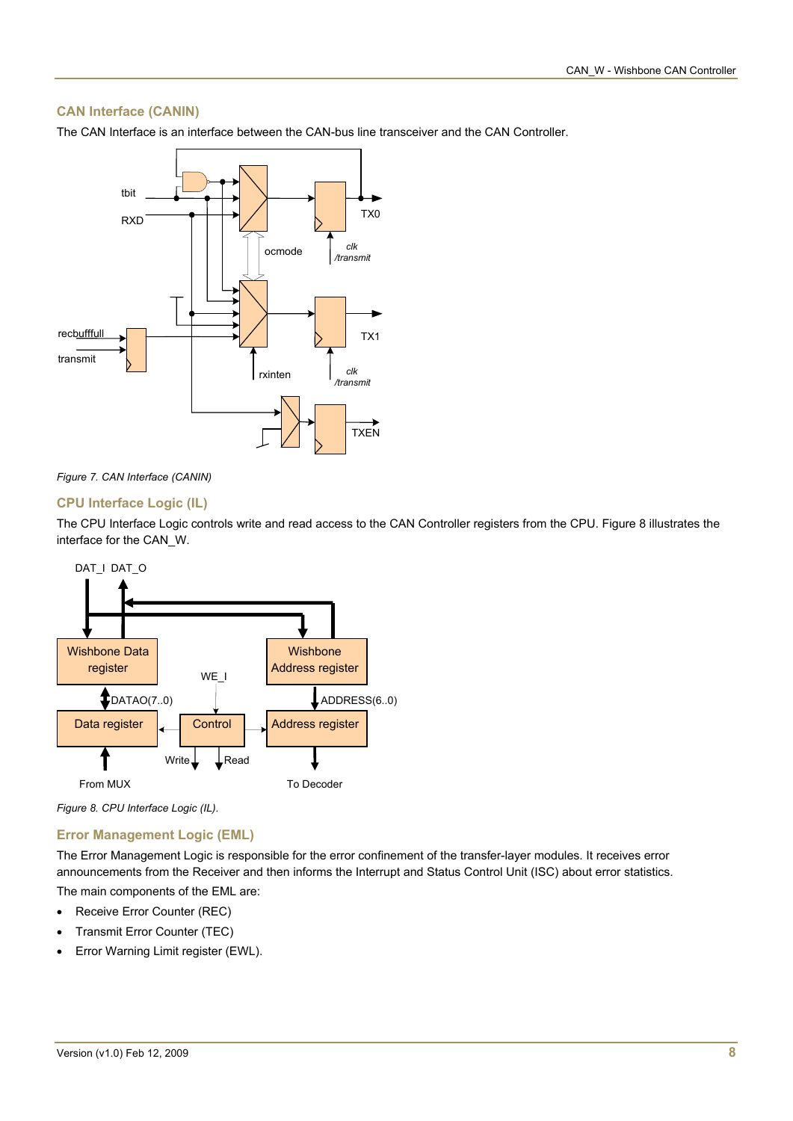## **CAN Interface (CANIN)**

The CAN Interface is an interface between the CAN-bus line transceiver and the CAN Controller.





## **CPU Interface Logic (IL)**

The CPU Interface Logic controls write and read access to the CAN Controller registers from the CPU. Figure 8 illustrates the interface for the CAN\_W.



*Figure 8. CPU Interface Logic (IL).* 

## **Error Management Logic (EML)**

The Error Management Logic is responsible for the error confinement of the transfer-layer modules. It receives error announcements from the Receiver and then informs the Interrupt and Status Control Unit (ISC) about error statistics. The main components of the EML are:

- Receive Error Counter (REC)
- Transmit Error Counter (TEC)
- Error Warning Limit register (EWL).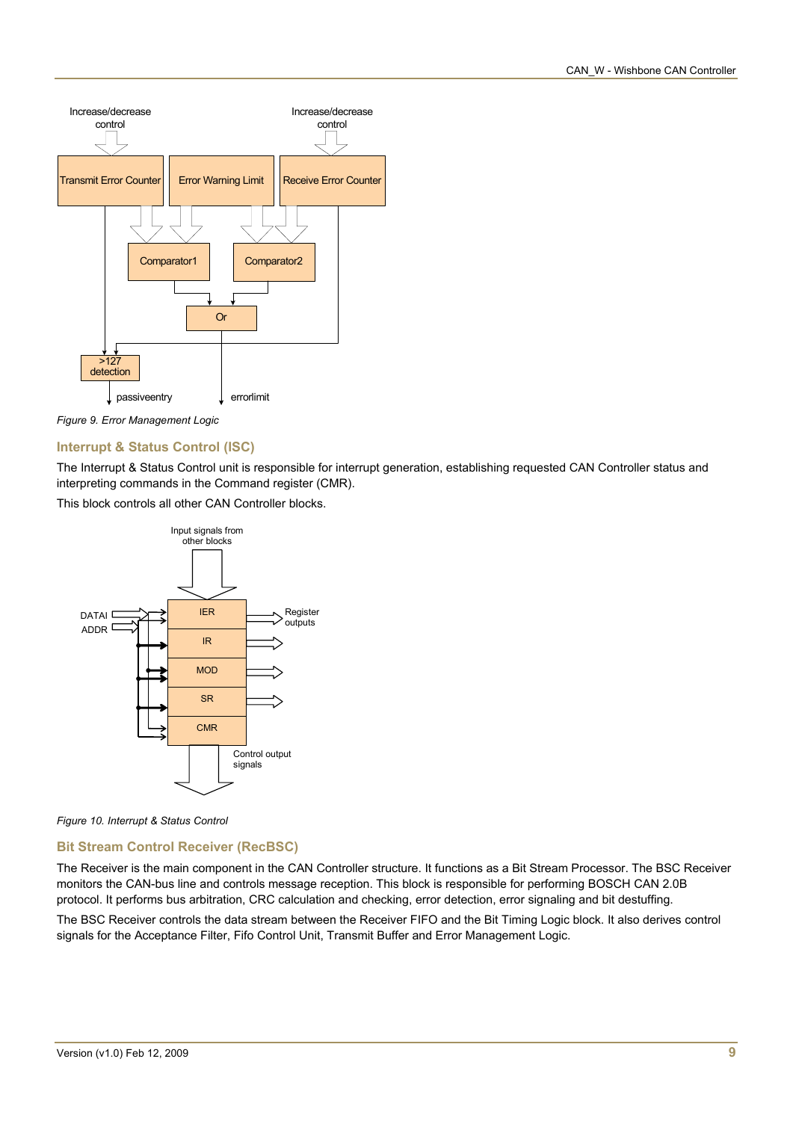

*Figure 9. Error Management Logic* 

### **Interrupt & Status Control (ISC)**

The Interrupt & Status Control unit is responsible for interrupt generation, establishing requested CAN Controller status and interpreting commands in the Command register (CMR).

This block controls all other CAN Controller blocks.



*Figure 10. Interrupt & Status Control* 

## **Bit Stream Control Receiver (RecBSC)**

The Receiver is the main component in the CAN Controller structure. It functions as a Bit Stream Processor. The BSC Receiver monitors the CAN-bus line and controls message reception. This block is responsible for performing BOSCH CAN 2.0B protocol. It performs bus arbitration, CRC calculation and checking, error detection, error signaling and bit destuffing.

The BSC Receiver controls the data stream between the Receiver FIFO and the Bit Timing Logic block. It also derives control signals for the Acceptance Filter, Fifo Control Unit, Transmit Buffer and Error Management Logic.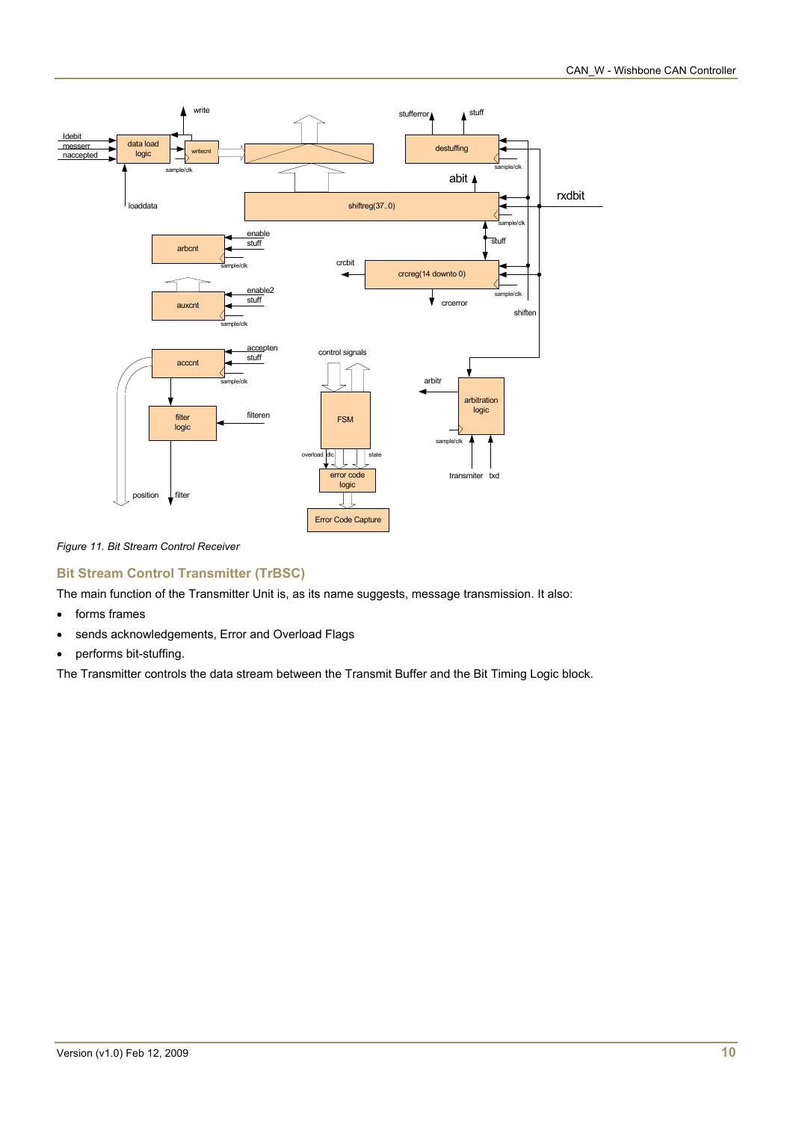

*Figure 11. Bit Stream Control Receiver* 

## **Bit Stream Control Transmitter (TrBSC)**

The main function of the Transmitter Unit is, as its name suggests, message transmission. It also:

- forms frames
- sends acknowledgements, Error and Overload Flags
- performs bit-stuffing.

The Transmitter controls the data stream between the Transmit Buffer and the Bit Timing Logic block.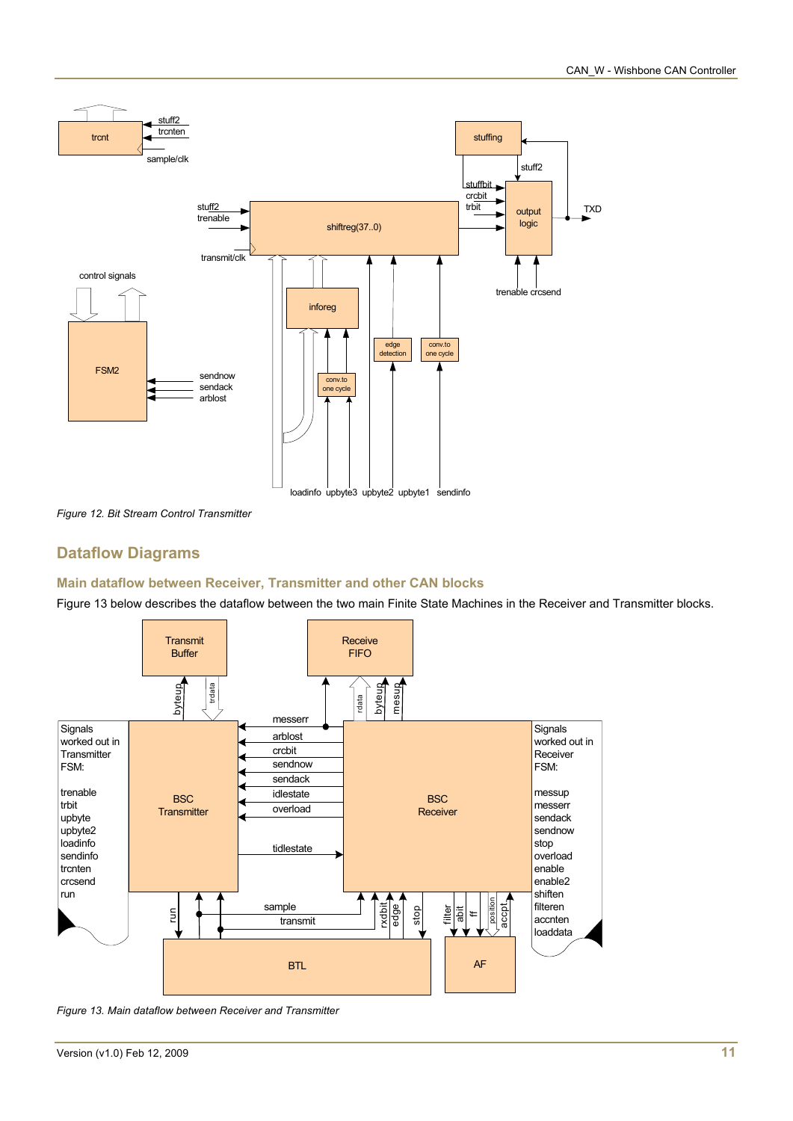

*Figure 12. Bit Stream Control Transmitter* 

## **Dataflow Diagrams**

## **Main dataflow between Receiver, Transmitter and other CAN blocks**

[Figure 13](#page-10-0) below describes the dataflow between the two main Finite State Machines in the Receiver and Transmitter blocks.



<span id="page-10-0"></span>*Figure 13. Main dataflow between Receiver and Transmitter*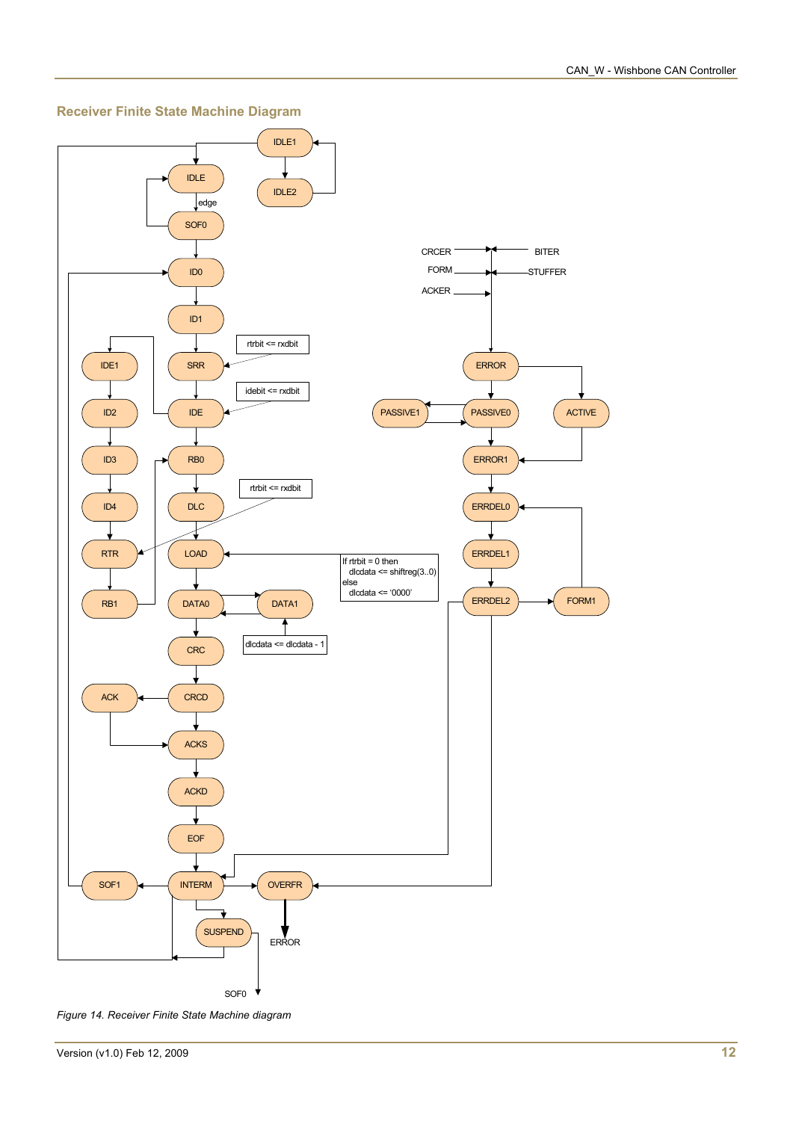

### **Receiver Finite State Machine Diagram**

*Figure 14. Receiver Finite State Machine diagram*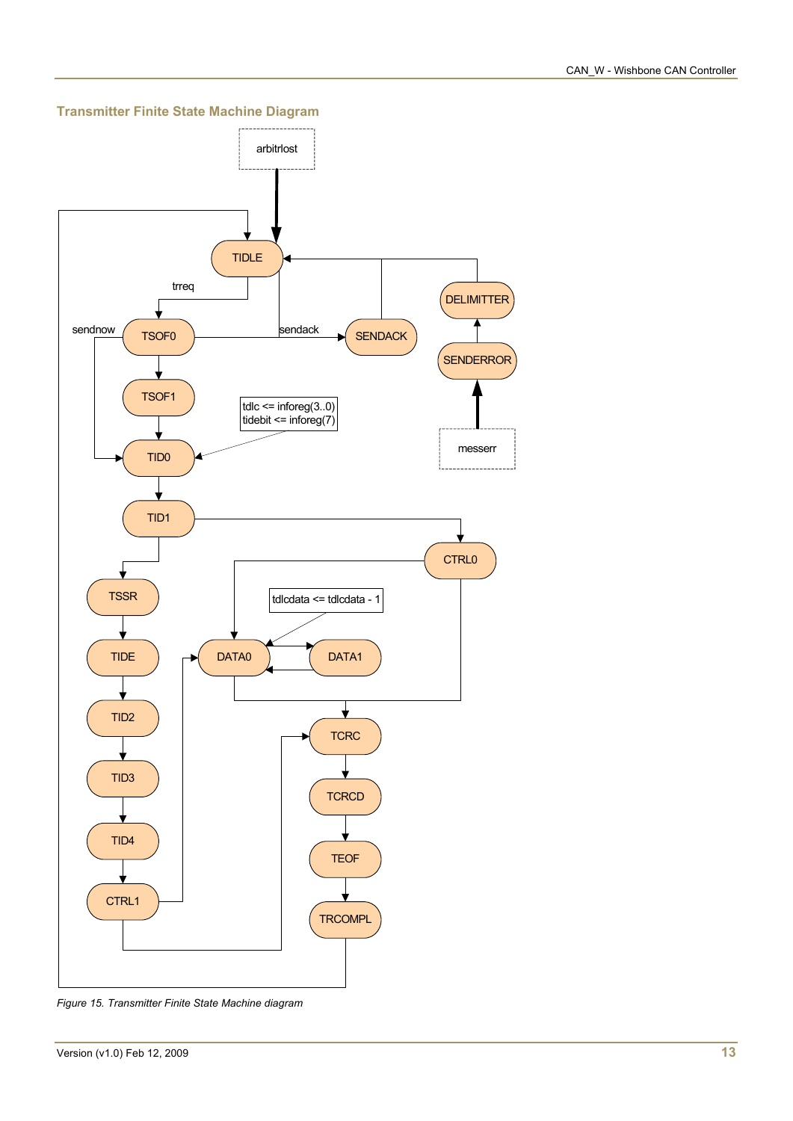## **Transmitter Finite State Machine Diagram**



*Figure 15. Transmitter Finite State Machine diagram*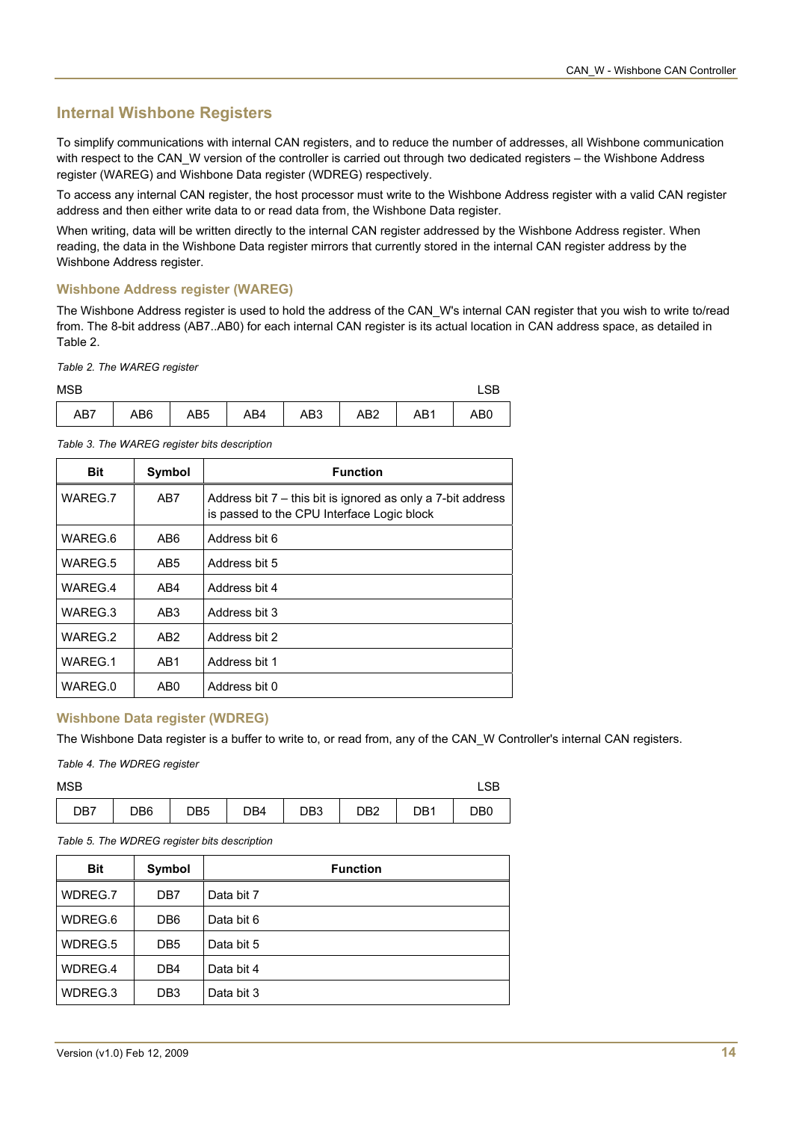## **Internal Wishbone Registers**

To simplify communications with internal CAN registers, and to reduce the number of addresses, all Wishbone communication with respect to the CAN\_W version of the controller is carried out through two dedicated registers – the Wishbone Address register (WAREG) and Wishbone Data register (WDREG) respectively.

To access any internal CAN register, the host processor must write to the Wishbone Address register with a valid CAN register address and then either write data to or read data from, the Wishbone Data register.

When writing, data will be written directly to the internal CAN register addressed by the Wishbone Address register. When reading, the data in the Wishbone Data register mirrors that currently stored in the internal CAN register address by the Wishbone Address register.

## **Wishbone Address register (WAREG)**

The Wishbone Address register is used to hold the address of the CAN\_W's internal CAN register that you wish to write to/read from. The 8-bit address (AB7..AB0) for each internal CAN register is its actual location in CAN address space, as detailed in Table 2.

*Table 2. The WAREG register* 

| <b>MSB</b> |                                   |  |  | LSB             |
|------------|-----------------------------------|--|--|-----------------|
| AB7        | AB6   AB5   AB4   AB3   AB2   AB1 |  |  | AB <sub>0</sub> |

*Table 3. The WAREG register bits description* 

| <b>Bit</b> | <b>Symbol</b>   | <b>Function</b>                                                                                           |
|------------|-----------------|-----------------------------------------------------------------------------------------------------------|
| WAREG.7    | AB7             | Address bit 7 - this bit is ignored as only a 7-bit address<br>is passed to the CPU Interface Logic block |
| WAREG.6    | AB6             | Address bit 6                                                                                             |
| WAREG.5    | AB <sub>5</sub> | Address bit 5                                                                                             |
| WAREG.4    | AR4             | Address bit 4                                                                                             |
| WAREG.3    | AB <sub>3</sub> | Address bit 3                                                                                             |
| WAREG.2    | AB <sub>2</sub> | Address bit 2                                                                                             |
| WAREG.1    | AB <sub>1</sub> | Address bit 1                                                                                             |
| WAREG.0    | AB0             | Address bit 0                                                                                             |

## **Wishbone Data register (WDREG)**

The Wishbone Data register is a buffer to write to, or read from, any of the CAN\_W Controller's internal CAN registers.

*Table 4. The WDREG register* 

| <b>MSB</b> |                 |                 |     |     |                 |     |     |
|------------|-----------------|-----------------|-----|-----|-----------------|-----|-----|
| DB7        | DB <sub>6</sub> | DB <sub>5</sub> | DB4 | DB3 | DB <sub>2</sub> | DB1 | DB0 |

*Table 5. The WDREG register bits description* 

| <b>Bit</b> | Symbol          | <b>Function</b> |
|------------|-----------------|-----------------|
| WDREG.7    | DB <sub>7</sub> | Data bit 7      |
| WDREG.6    | DB <sub>6</sub> | Data bit 6      |
| WDREG.5    | DB <sub>5</sub> | Data bit 5      |
| WDREG.4    | DB4             | Data bit 4      |
| WDREG.3    | DB <sub>3</sub> | Data bit 3      |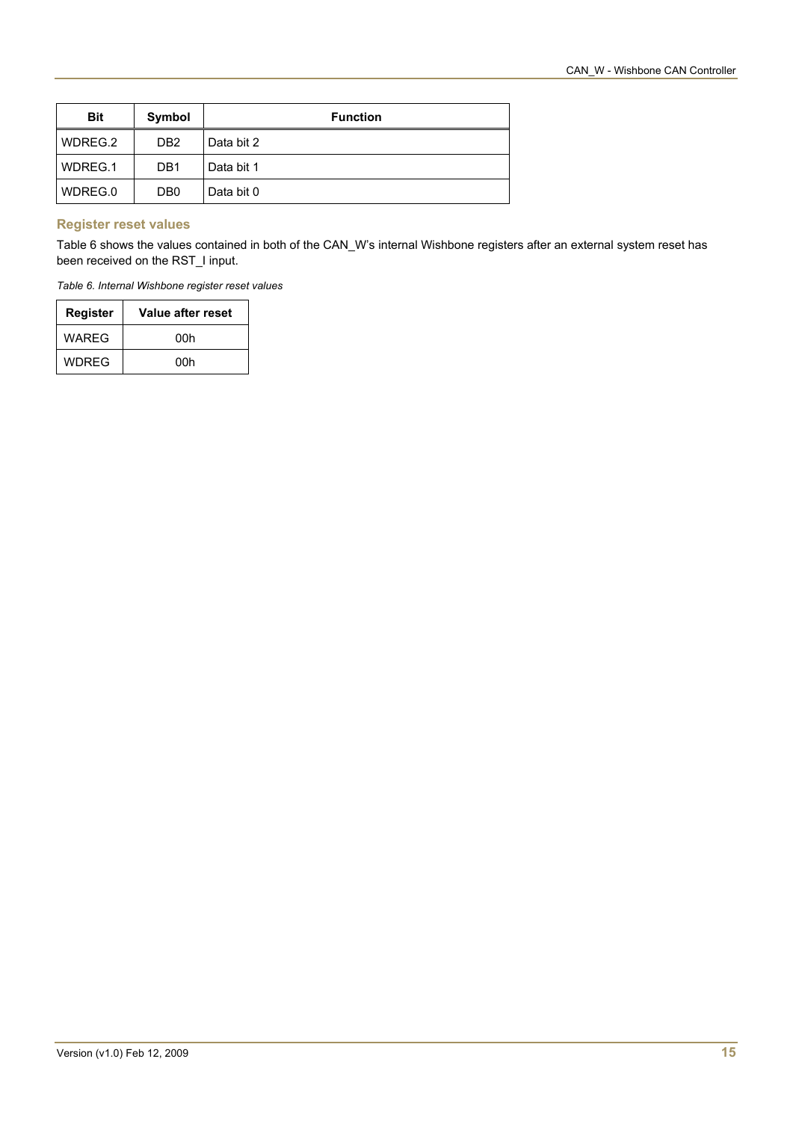| <b>Bit</b> | Symbol           | <b>Function</b> |
|------------|------------------|-----------------|
| WDREG.2    | DB <sub>2</sub>  | Data bit 2      |
| WDREG.1    | DB <sub>1</sub>  | Data bit 1      |
| WDREG.0    | D <sub>B</sub> 0 | Data bit 0      |

## **Register reset values**

[Table 6](#page-14-0) shows the values contained in both of the CAN\_W's internal Wishbone registers after an external system reset has been received on the RST\_I input.

<span id="page-14-0"></span>*Table 6. Internal Wishbone register reset values* 

| <b>Register</b> | Value after reset |
|-----------------|-------------------|
| WARFG           | 00h               |
| <b>WDREG</b>    | 00h               |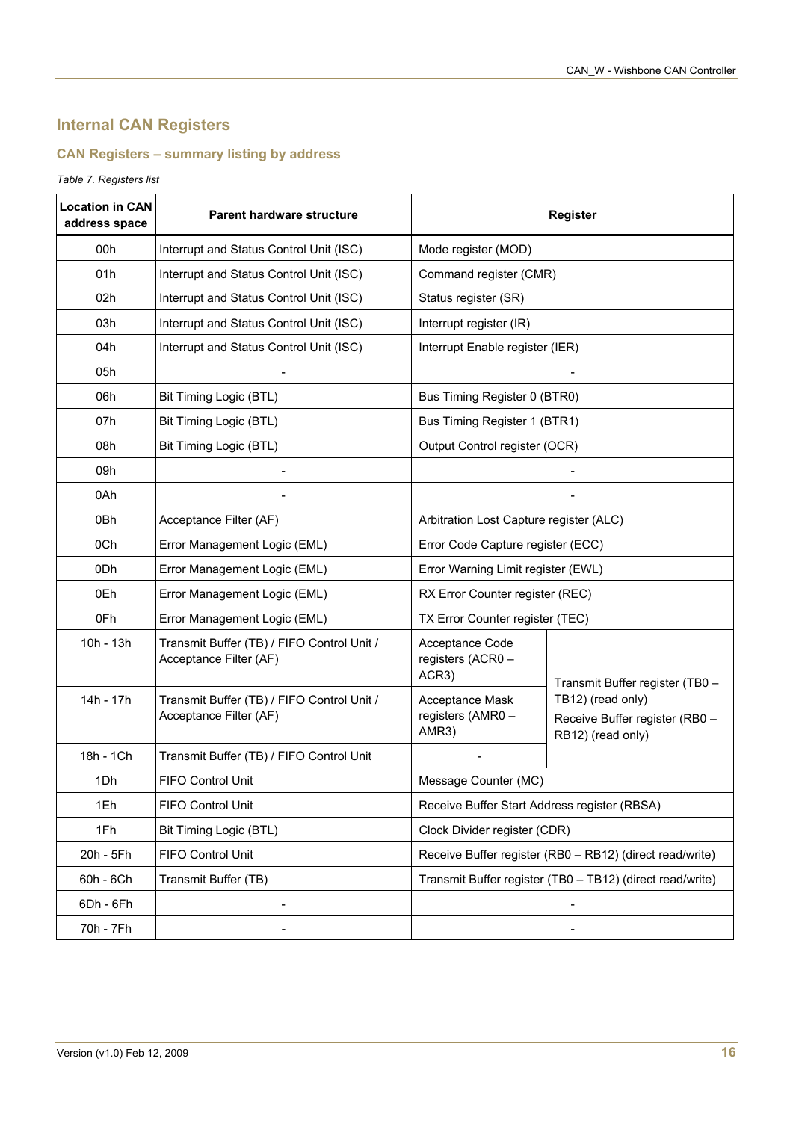# **Internal CAN Registers**

## **CAN Registers – summary listing by address**

### *Table 7. Registers list*

| <b>Location in CAN</b><br>address space | <b>Parent hardware structure</b>                                     |                                               | <b>Register</b>                                                          |  |
|-----------------------------------------|----------------------------------------------------------------------|-----------------------------------------------|--------------------------------------------------------------------------|--|
| 00h                                     | Interrupt and Status Control Unit (ISC)                              | Mode register (MOD)                           |                                                                          |  |
| 01h                                     | Interrupt and Status Control Unit (ISC)                              | Command register (CMR)                        |                                                                          |  |
| 02h                                     | Interrupt and Status Control Unit (ISC)                              | Status register (SR)                          |                                                                          |  |
| 03h                                     | Interrupt and Status Control Unit (ISC)                              | Interrupt register (IR)                       |                                                                          |  |
| 04h                                     | Interrupt and Status Control Unit (ISC)                              | Interrupt Enable register (IER)               |                                                                          |  |
| 05h                                     |                                                                      |                                               |                                                                          |  |
| 06h                                     | Bit Timing Logic (BTL)                                               | Bus Timing Register 0 (BTR0)                  |                                                                          |  |
| 07h                                     | Bit Timing Logic (BTL)                                               | Bus Timing Register 1 (BTR1)                  |                                                                          |  |
| 08h                                     | Bit Timing Logic (BTL)                                               | Output Control register (OCR)                 |                                                                          |  |
| 09h                                     |                                                                      |                                               |                                                                          |  |
| 0Ah                                     |                                                                      |                                               |                                                                          |  |
| 0Bh                                     | Acceptance Filter (AF)                                               | Arbitration Lost Capture register (ALC)       |                                                                          |  |
| 0Ch                                     | Error Management Logic (EML)                                         | Error Code Capture register (ECC)             |                                                                          |  |
| 0Dh                                     | Error Management Logic (EML)                                         | Error Warning Limit register (EWL)            |                                                                          |  |
| 0Eh                                     | Error Management Logic (EML)                                         | RX Error Counter register (REC)               |                                                                          |  |
| 0Fh                                     | Error Management Logic (EML)                                         | TX Error Counter register (TEC)               |                                                                          |  |
| $10h - 13h$                             | Transmit Buffer (TB) / FIFO Control Unit /<br>Acceptance Filter (AF) | Acceptance Code<br>registers (ACR0 -<br>ACR3) | Transmit Buffer register (TB0 -                                          |  |
| 14h - 17h                               | Transmit Buffer (TB) / FIFO Control Unit /<br>Acceptance Filter (AF) | Acceptance Mask<br>registers (AMR0 -<br>AMR3) | TB12) (read only)<br>Receive Buffer register (RB0 -<br>RB12) (read only) |  |
| 18h - 1Ch                               | Transmit Buffer (TB) / FIFO Control Unit                             |                                               |                                                                          |  |
| 1Dh                                     | <b>FIFO Control Unit</b>                                             | Message Counter (MC)                          |                                                                          |  |
| 1Eh                                     | FIFO Control Unit                                                    | Receive Buffer Start Address register (RBSA)  |                                                                          |  |
| 1Fh                                     | <b>Bit Timing Logic (BTL)</b>                                        | Clock Divider register (CDR)                  |                                                                          |  |
| 20h - 5Fh                               | FIFO Control Unit                                                    |                                               | Receive Buffer register (RB0 - RB12) (direct read/write)                 |  |
| 60h - 6Ch                               | Transmit Buffer (TB)                                                 |                                               | Transmit Buffer register (TB0 - TB12) (direct read/write)                |  |
| 6Dh - 6Fh                               |                                                                      |                                               |                                                                          |  |
| 70h - 7Fh                               |                                                                      |                                               |                                                                          |  |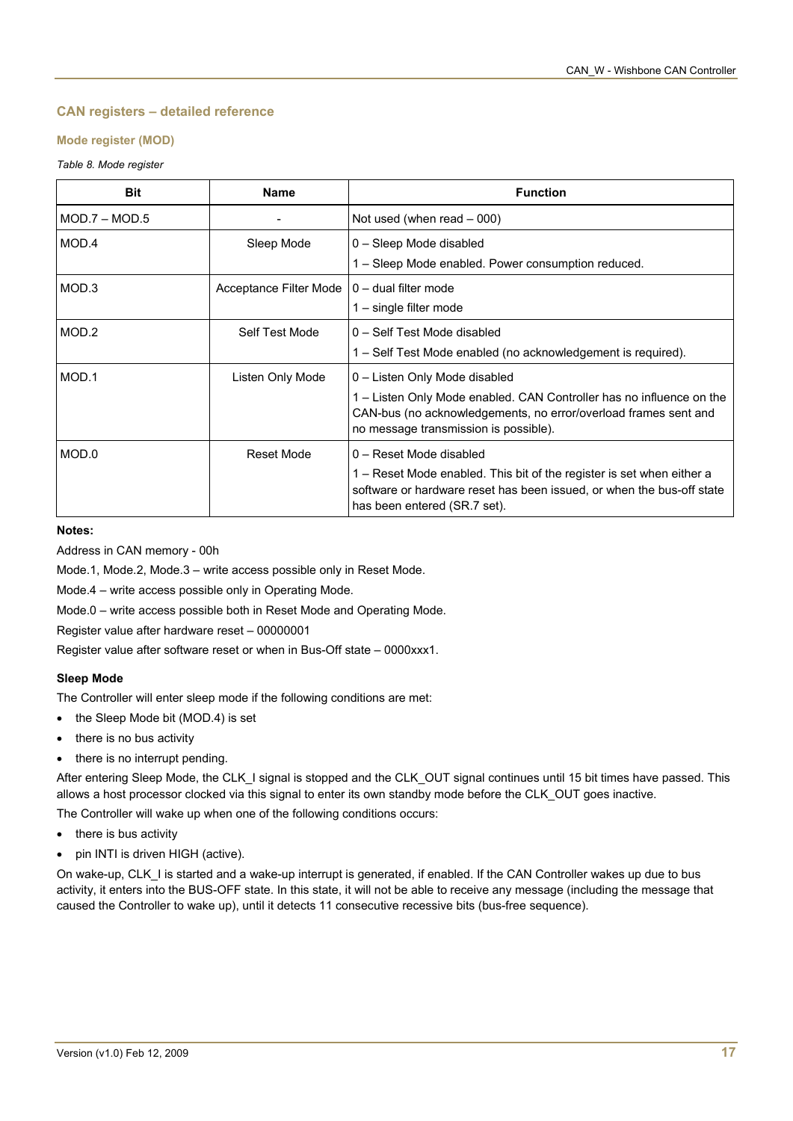### **CAN registers – detailed reference**

### **Mode register (MOD)**

### *Table 8. Mode register*

| <b>Bit</b>      | <b>Name</b>            | <b>Function</b>                                                                                                                                                                |
|-----------------|------------------------|--------------------------------------------------------------------------------------------------------------------------------------------------------------------------------|
| $MOD.7 - MOD.5$ |                        | Not used (when read $-000$ )                                                                                                                                                   |
| MOD.4           | Sleep Mode             | 0 - Sleep Mode disabled                                                                                                                                                        |
|                 |                        | 1 – Sleep Mode enabled. Power consumption reduced.                                                                                                                             |
| MOD.3           | Acceptance Filter Mode | $0 -$ dual filter mode                                                                                                                                                         |
|                 |                        | $1 -$ single filter mode                                                                                                                                                       |
| MOD.2           | Self Test Mode         | 0 - Self Test Mode disabled                                                                                                                                                    |
|                 |                        | 1 – Self Test Mode enabled (no acknowledgement is required).                                                                                                                   |
| MOD.1           | Listen Only Mode       | 0 - Listen Only Mode disabled                                                                                                                                                  |
|                 |                        | 1 – Listen Only Mode enabled. CAN Controller has no influence on the                                                                                                           |
|                 |                        | CAN-bus (no acknowledgements, no error/overload frames sent and<br>no message transmission is possible).                                                                       |
| MOD.0           | Reset Mode             | 0 - Reset Mode disabled                                                                                                                                                        |
|                 |                        | 1 - Reset Mode enabled. This bit of the register is set when either a<br>software or hardware reset has been issued, or when the bus-off state<br>has been entered (SR.7 set). |

#### **Notes:**

Address in CAN memory - 00h

Mode.1, Mode.2, Mode.3 – write access possible only in Reset Mode.

Mode.4 – write access possible only in Operating Mode.

Mode.0 – write access possible both in Reset Mode and Operating Mode.

Register value after hardware reset – 00000001

Register value after software reset or when in Bus-Off state – 0000xxx1.

#### **Sleep Mode**

The Controller will enter sleep mode if the following conditions are met:

- the Sleep Mode bit (MOD.4) is set
- there is no bus activity
- there is no interrupt pending.

After entering Sleep Mode, the CLK\_I signal is stopped and the CLK\_OUT signal continues until 15 bit times have passed. This allows a host processor clocked via this signal to enter its own standby mode before the CLK\_OUT goes inactive.

The Controller will wake up when one of the following conditions occurs:

- there is bus activity
- pin INTI is driven HIGH (active).

On wake-up, CLK\_I is started and a wake-up interrupt is generated, if enabled. If the CAN Controller wakes up due to bus activity, it enters into the BUS-OFF state. In this state, it will not be able to receive any message (including the message that caused the Controller to wake up), until it detects 11 consecutive recessive bits (bus-free sequence).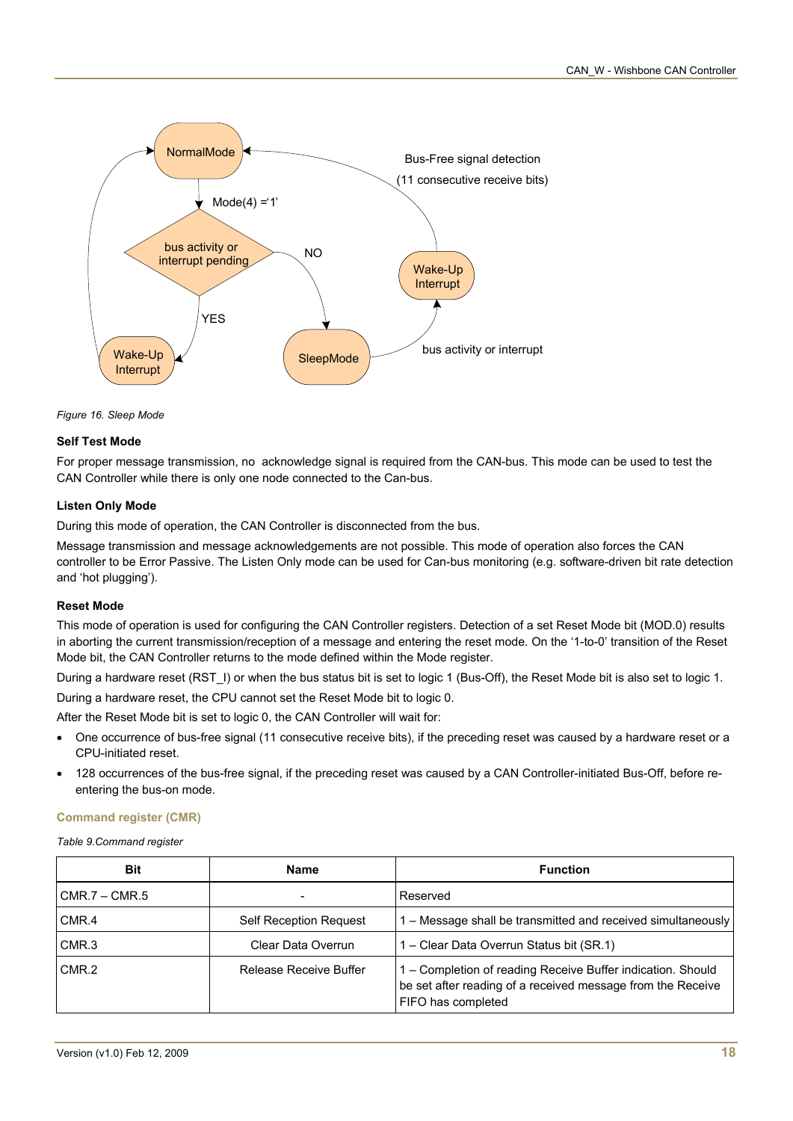

*Figure 16. Sleep Mode* 

## **Self Test Mode**

For proper message transmission, no acknowledge signal is required from the CAN-bus. This mode can be used to test the CAN Controller while there is only one node connected to the Can-bus.

## **Listen Only Mode**

During this mode of operation, the CAN Controller is disconnected from the bus.

Message transmission and message acknowledgements are not possible. This mode of operation also forces the CAN controller to be Error Passive. The Listen Only mode can be used for Can-bus monitoring (e.g. software-driven bit rate detection and 'hot plugging').

## **Reset Mode**

This mode of operation is used for configuring the CAN Controller registers. Detection of a set Reset Mode bit (MOD.0) results in aborting the current transmission/reception of a message and entering the reset mode. On the '1-to-0' transition of the Reset Mode bit, the CAN Controller returns to the mode defined within the Mode register.

During a hardware reset (RST I) or when the bus status bit is set to logic 1 (Bus-Off), the Reset Mode bit is also set to logic 1.

During a hardware reset, the CPU cannot set the Reset Mode bit to logic 0.

After the Reset Mode bit is set to logic 0, the CAN Controller will wait for:

- One occurrence of bus-free signal (11 consecutive receive bits), if the preceding reset was caused by a hardware reset or a CPU-initiated reset.
- 128 occurrences of the bus-free signal, if the preceding reset was caused by a CAN Controller-initiated Bus-Off, before reentering the bus-on mode.

## **Command register (CMR)**

*Table 9.Command register* 

| Bit              | <b>Name</b>            | <b>Function</b>                                                                                                                                  |
|------------------|------------------------|--------------------------------------------------------------------------------------------------------------------------------------------------|
| $CMR.7 - CMR.5$  |                        | Reserved                                                                                                                                         |
| CMR.4            | Self Reception Request | 1 – Message shall be transmitted and received simultaneously                                                                                     |
| CMR <sub>3</sub> | Clear Data Overrun     | 1 – Clear Data Overrun Status bit (SR.1)                                                                                                         |
| CMR.2            | Release Receive Buffer | 1 – Completion of reading Receive Buffer indication. Should<br>be set after reading of a received message from the Receive<br>FIFO has completed |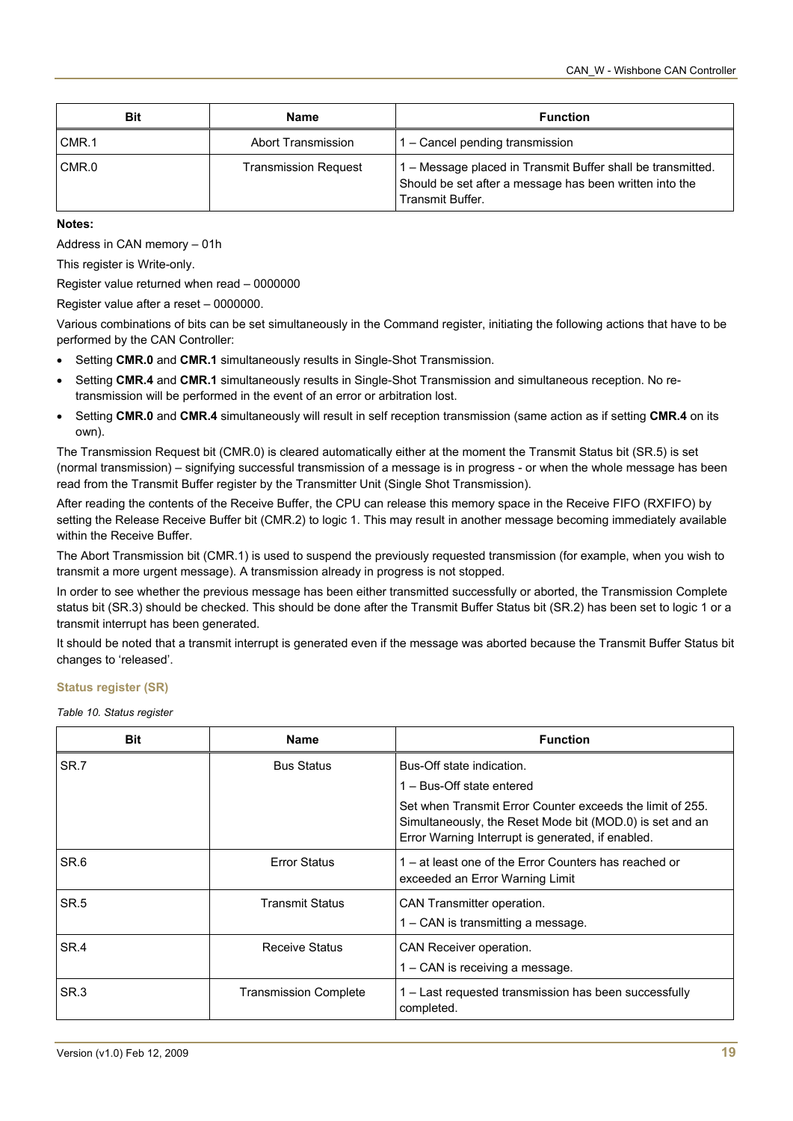| <b>Bit</b> | <b>Name</b>                 | <b>Function</b>                                                                                                                            |
|------------|-----------------------------|--------------------------------------------------------------------------------------------------------------------------------------------|
| CMR.1      | Abort Transmission          | 1 – Cancel pending transmission                                                                                                            |
| CMR.0      | <b>Transmission Request</b> | 1 – Message placed in Transmit Buffer shall be transmitted.<br>Should be set after a message has been written into the<br>Transmit Buffer. |

#### **Notes:**

Address in CAN memory – 01h

This register is Write-only.

Register value returned when read – 0000000

Register value after a reset – 0000000.

Various combinations of bits can be set simultaneously in the Command register, initiating the following actions that have to be performed by the CAN Controller:

- Setting **CMR.0** and **CMR.1** simultaneously results in Single-Shot Transmission.
- Setting **CMR.4** and **CMR.1** simultaneously results in Single-Shot Transmission and simultaneous reception. No retransmission will be performed in the event of an error or arbitration lost.
- Setting **CMR.0** and **CMR.4** simultaneously will result in self reception transmission (same action as if setting **CMR.4** on its own).

The Transmission Request bit (CMR.0) is cleared automatically either at the moment the Transmit Status bit (SR.5) is set (normal transmission) – signifying successful transmission of a message is in progress - or when the whole message has been read from the Transmit Buffer register by the Transmitter Unit (Single Shot Transmission).

After reading the contents of the Receive Buffer, the CPU can release this memory space in the Receive FIFO (RXFIFO) by setting the Release Receive Buffer bit (CMR.2) to logic 1. This may result in another message becoming immediately available within the Receive Buffer.

The Abort Transmission bit (CMR.1) is used to suspend the previously requested transmission (for example, when you wish to transmit a more urgent message). A transmission already in progress is not stopped.

In order to see whether the previous message has been either transmitted successfully or aborted, the Transmission Complete status bit (SR.3) should be checked. This should be done after the Transmit Buffer Status bit (SR.2) has been set to logic 1 or a transmit interrupt has been generated.

It should be noted that a transmit interrupt is generated even if the message was aborted because the Transmit Buffer Status bit changes to 'released'.

#### **Status register (SR)**

*Table 10. Status register* 

| <b>Bit</b> | <b>Name</b>                  | <b>Function</b>                                                                                                                                                            |
|------------|------------------------------|----------------------------------------------------------------------------------------------------------------------------------------------------------------------------|
| SR.7       | <b>Bus Status</b>            | Bus-Off state indication.                                                                                                                                                  |
|            |                              | 1 - Bus-Off state entered                                                                                                                                                  |
|            |                              | Set when Transmit Error Counter exceeds the limit of 255.<br>Simultaneously, the Reset Mode bit (MOD.0) is set and an<br>Error Warning Interrupt is generated, if enabled. |
| SR.6       | <b>Error Status</b>          | 1 – at least one of the Error Counters has reached or<br>exceeded an Error Warning Limit                                                                                   |
| SR.5       | <b>Transmit Status</b>       | CAN Transmitter operation.                                                                                                                                                 |
|            |                              | 1 – CAN is transmitting a message.                                                                                                                                         |
| SR.4       | <b>Receive Status</b>        | CAN Receiver operation.                                                                                                                                                    |
|            |                              | 1 – CAN is receiving a message.                                                                                                                                            |
| SR.3       | <b>Transmission Complete</b> | - Last requested transmission has been successfully<br>completed.                                                                                                          |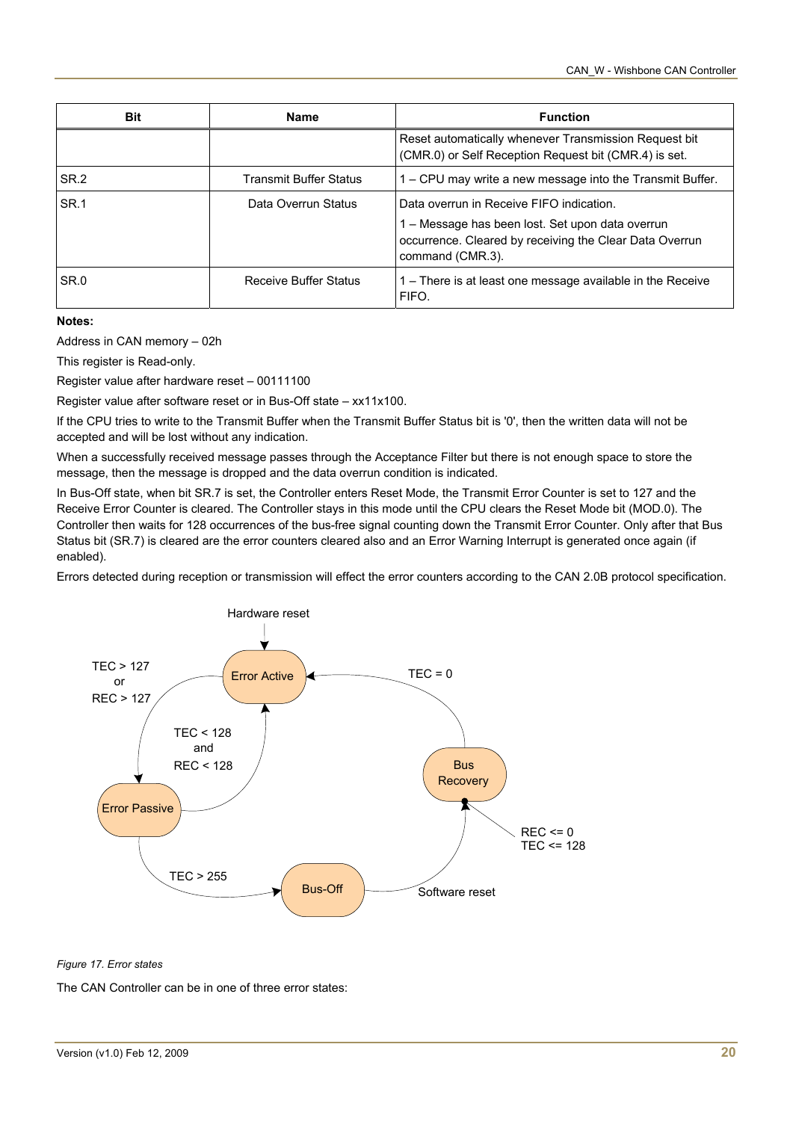| <b>Bit</b>       | <b>Name</b>                   | <b>Function</b>                                                                                                                                                             |
|------------------|-------------------------------|-----------------------------------------------------------------------------------------------------------------------------------------------------------------------------|
|                  |                               | Reset automatically whenever Transmission Request bit<br>(CMR.0) or Self Reception Request bit (CMR.4) is set.                                                              |
| SR <sub>2</sub>  | <b>Transmit Buffer Status</b> | 1 – CPU may write a new message into the Transmit Buffer.                                                                                                                   |
| SR <sub>.1</sub> | Data Overrun Status           | Data overrun in Receive FIFO indication.<br>1 – Message has been lost. Set upon data overrun<br>occurrence. Cleared by receiving the Clear Data Overrun<br>command (CMR.3). |
| SR.0             | <b>Receive Buffer Status</b>  | 1 – There is at least one message available in the Receive<br>I FIFO.                                                                                                       |

**Notes:** 

Address in CAN memory – 02h

This register is Read-only.

Register value after hardware reset – 00111100

Register value after software reset or in Bus-Off state – xx11x100.

If the CPU tries to write to the Transmit Buffer when the Transmit Buffer Status bit is '0', then the written data will not be accepted and will be lost without any indication.

When a successfully received message passes through the Acceptance Filter but there is not enough space to store the message, then the message is dropped and the data overrun condition is indicated.

In Bus-Off state, when bit SR.7 is set, the Controller enters Reset Mode, the Transmit Error Counter is set to 127 and the Receive Error Counter is cleared. The Controller stays in this mode until the CPU clears the Reset Mode bit (MOD.0). The Controller then waits for 128 occurrences of the bus-free signal counting down the Transmit Error Counter. Only after that Bus Status bit (SR.7) is cleared are the error counters cleared also and an Error Warning Interrupt is generated once again (if enabled).

Errors detected during reception or transmission will effect the error counters according to the CAN 2.0B protocol specification.



*Figure 17. Error states* 

The CAN Controller can be in one of three error states: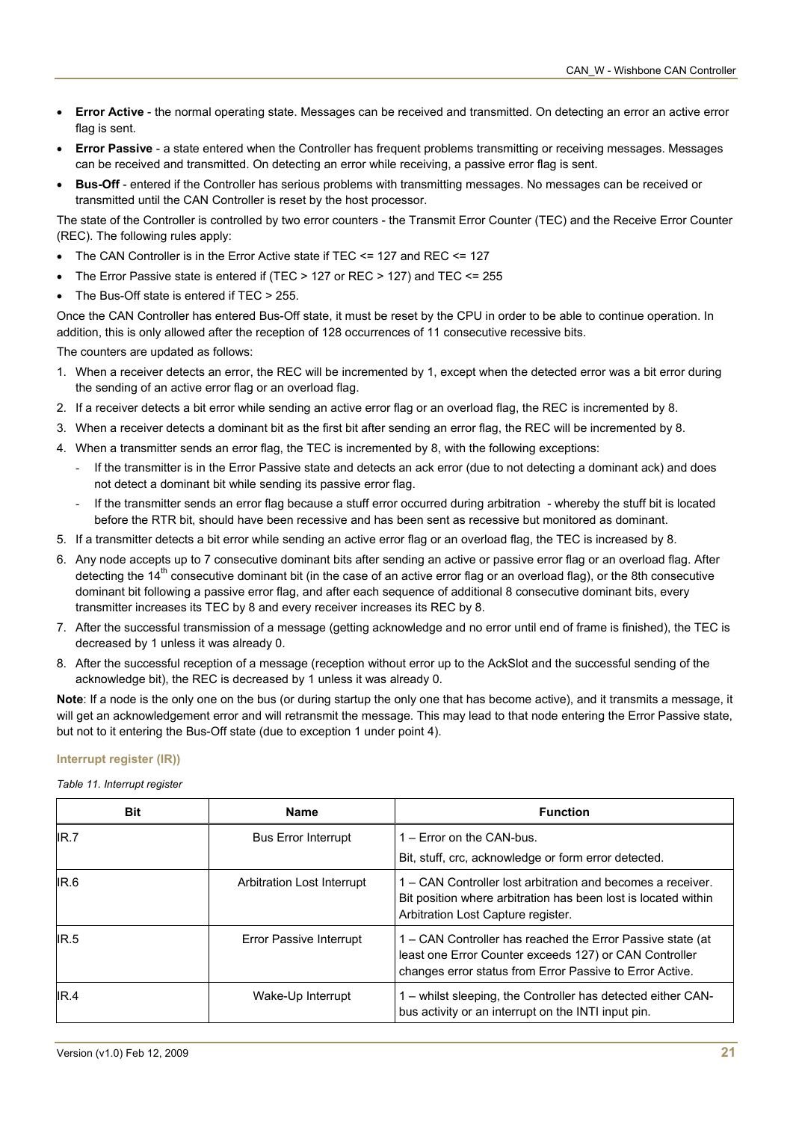- **Error Active** the normal operating state. Messages can be received and transmitted. On detecting an error an active error flag is sent.
- **Error Passive** a state entered when the Controller has frequent problems transmitting or receiving messages. Messages can be received and transmitted. On detecting an error while receiving, a passive error flag is sent.
- **Bus-Off** entered if the Controller has serious problems with transmitting messages. No messages can be received or transmitted until the CAN Controller is reset by the host processor.

The state of the Controller is controlled by two error counters - the Transmit Error Counter (TEC) and the Receive Error Counter (REC). The following rules apply:

- The CAN Controller is in the Error Active state if TEC <= 127 and REC <= 127
- The Error Passive state is entered if (TEC > 127 or REC > 127) and TEC <= 255
- The Bus-Off state is entered if TEC > 255.

Once the CAN Controller has entered Bus-Off state, it must be reset by the CPU in order to be able to continue operation. In addition, this is only allowed after the reception of 128 occurrences of 11 consecutive recessive bits.

The counters are updated as follows:

- 1. When a receiver detects an error, the REC will be incremented by 1, except when the detected error was a bit error during the sending of an active error flag or an overload flag.
- 2. If a receiver detects a bit error while sending an active error flag or an overload flag, the REC is incremented by 8.
- 3. When a receiver detects a dominant bit as the first bit after sending an error flag, the REC will be incremented by 8.
- 4. When a transmitter sends an error flag, the TEC is incremented by 8, with the following exceptions:
	- If the transmitter is in the Error Passive state and detects an ack error (due to not detecting a dominant ack) and does not detect a dominant bit while sending its passive error flag.
	- If the transmitter sends an error flag because a stuff error occurred during arbitration whereby the stuff bit is located before the RTR bit, should have been recessive and has been sent as recessive but monitored as dominant.
- 5. If a transmitter detects a bit error while sending an active error flag or an overload flag, the TEC is increased by 8.
- 6. Any node accepts up to 7 consecutive dominant bits after sending an active or passive error flag or an overload flag. After detecting the  $14<sup>th</sup>$  consecutive dominant bit (in the case of an active error flag or an overload flag), or the 8th consecutive dominant bit following a passive error flag, and after each sequence of additional 8 consecutive dominant bits, every transmitter increases its TEC by 8 and every receiver increases its REC by 8.
- 7. After the successful transmission of a message (getting acknowledge and no error until end of frame is finished), the TEC is decreased by 1 unless it was already 0.
- 8. After the successful reception of a message (reception without error up to the AckSlot and the successful sending of the acknowledge bit), the REC is decreased by 1 unless it was already 0.

**Note**: If a node is the only one on the bus (or during startup the only one that has become active), and it transmits a message, it will get an acknowledgement error and will retransmit the message. This may lead to that node entering the Error Passive state, but not to it entering the Bus-Off state (due to exception 1 under point 4).

#### **Interrupt register (IR))**

*Table 11. Interrupt register* 

| <b>Bit</b> | <b>Name</b>                | <b>Function</b>                                                                                                                                                                  |
|------------|----------------------------|----------------------------------------------------------------------------------------------------------------------------------------------------------------------------------|
| IR.7       | <b>Bus Error Interrupt</b> | 1 – Error on the CAN-bus.                                                                                                                                                        |
|            |                            | Bit, stuff, crc, acknowledge or form error detected.                                                                                                                             |
| IR.6       | Arbitration Lost Interrupt | 1 – CAN Controller lost arbitration and becomes a receiver.<br>Bit position where arbitration has been lost is located within<br>Arbitration Lost Capture register.              |
| IR.5       | Error Passive Interrupt    | 1 – CAN Controller has reached the Error Passive state (at<br>least one Error Counter exceeds 127) or CAN Controller<br>changes error status from Error Passive to Error Active. |
| IR.4       | Wake-Up Interrupt          | 1 – whilst sleeping, the Controller has detected either CAN-<br>bus activity or an interrupt on the INTI input pin.                                                              |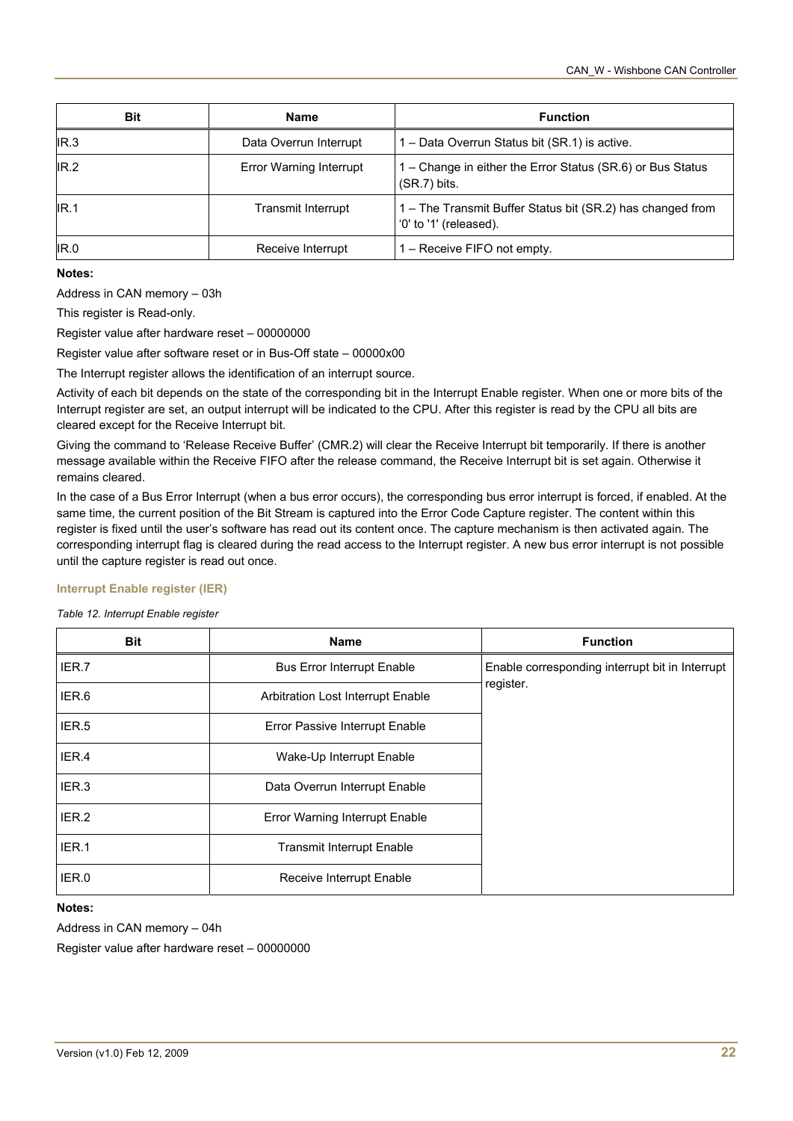| <b>Bit</b> | <b>Name</b>               | <b>Function</b>                                                                      |
|------------|---------------------------|--------------------------------------------------------------------------------------|
| IR.3       | Data Overrun Interrupt    | 1 - Data Overrun Status bit (SR.1) is active.                                        |
| IR.2       | Error Warning Interrupt   | 1 – Change in either the Error Status (SR.6) or Bus Status<br>$(SR.7)$ bits.         |
| IR.1       | <b>Transmit Interrupt</b> | 1 – The Transmit Buffer Status bit (SR.2) has changed from<br>'0' to '1' (released). |
| IR.0       | Receive Interrupt         | 1 – Receive FIFO not empty.                                                          |

#### **Notes:**

Address in CAN memory – 03h

This register is Read-only.

Register value after hardware reset – 00000000

Register value after software reset or in Bus-Off state – 00000x00

The Interrupt register allows the identification of an interrupt source.

Activity of each bit depends on the state of the corresponding bit in the Interrupt Enable register. When one or more bits of the Interrupt register are set, an output interrupt will be indicated to the CPU. After this register is read by the CPU all bits are cleared except for the Receive Interrupt bit.

Giving the command to 'Release Receive Buffer' (CMR.2) will clear the Receive Interrupt bit temporarily. If there is another message available within the Receive FIFO after the release command, the Receive Interrupt bit is set again. Otherwise it remains cleared.

In the case of a Bus Error Interrupt (when a bus error occurs), the corresponding bus error interrupt is forced, if enabled. At the same time, the current position of the Bit Stream is captured into the Error Code Capture register. The content within this register is fixed until the user's software has read out its content once. The capture mechanism is then activated again. The corresponding interrupt flag is cleared during the read access to the Interrupt register. A new bus error interrupt is not possible until the capture register is read out once.

#### **Interrupt Enable register (IER)**

*Table 12. Interrupt Enable register* 

| <b>Bit</b> | <b>Name</b>                       | <b>Function</b>                                 |
|------------|-----------------------------------|-------------------------------------------------|
| IER.7      | <b>Bus Error Interrupt Enable</b> | Enable corresponding interrupt bit in Interrupt |
| IER.6      | Arbitration Lost Interrupt Enable | register.                                       |
| IER.5      | Error Passive Interrupt Enable    |                                                 |
| IER.4      | Wake-Up Interrupt Enable          |                                                 |
| IER.3      | Data Overrun Interrupt Enable     |                                                 |
| IER.2      | Error Warning Interrupt Enable    |                                                 |
| IER.1      | <b>Transmit Interrupt Enable</b>  |                                                 |
| IER.0      | Receive Interrupt Enable          |                                                 |

#### **Notes:**

Address in CAN memory – 04h

Register value after hardware reset – 00000000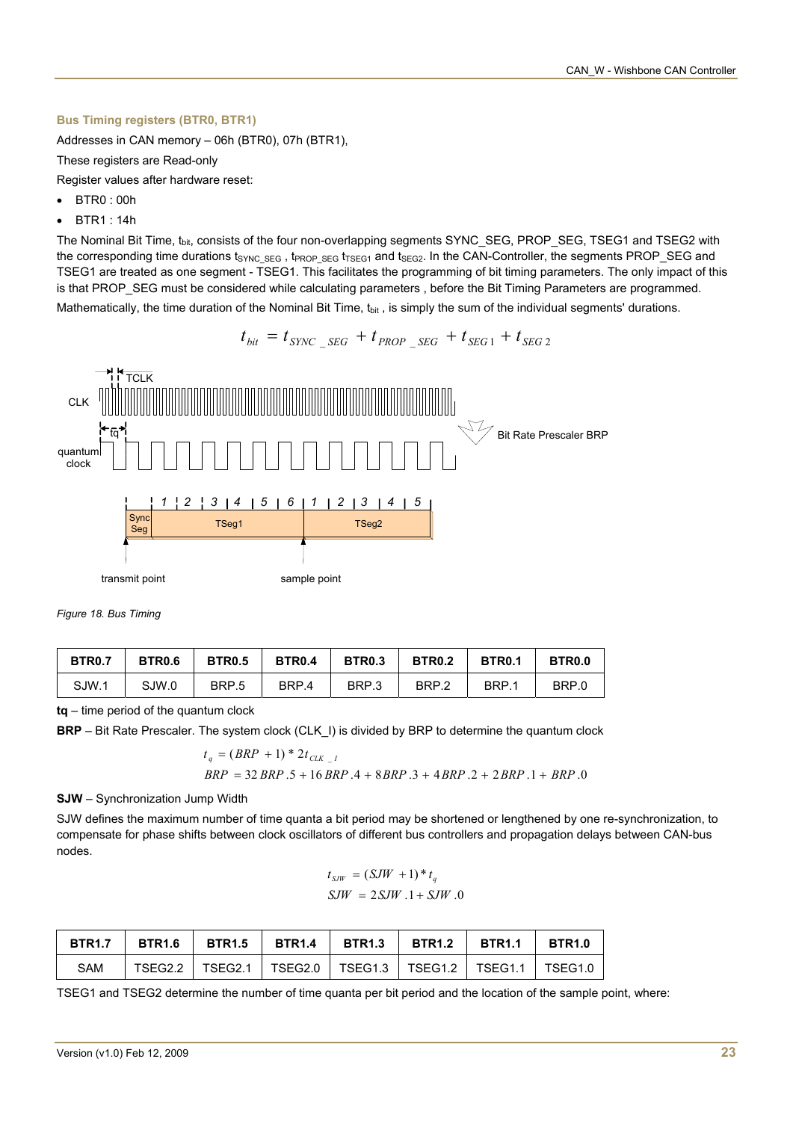#### **Bus Timing registers (BTR0, BTR1)**

Addresses in CAN memory – 06h (BTR0), 07h (BTR1),

These registers are Read-only

Register values after hardware reset:

- BTR0 : 00h
- BTR1 : 14h

The Nominal Bit Time, t<sub>bit</sub>, consists of the four non-overlapping segments SYNC\_SEG, PROP\_SEG, TSEG1 and TSEG2 with the corresponding time durations tsync seg, tPROP\_SEG tTSEG1 and tseg2. In the CAN-Controller, the segments PROP\_SEG and TSEG1 are treated as one segment - TSEG1. This facilitates the programming of bit timing parameters. The only impact of this is that PROP\_SEG must be considered while calculating parameters , before the Bit Timing Parameters are programmed.

Mathematically, the time duration of the Nominal Bit Time,  $t_{\text{bit}}$ , is simply the sum of the individual segments' durations.

$$
t_{bit} = t_{SYNC\_SEG} + t_{PROP\_SEG} + t_{SEG1} + t_{SEG2}
$$



*Figure 18. Bus Timing* 

| <b>BTR0.7</b> | BTR <sub>0.6</sub> | <b>BTR0.5</b> | <b>BTR0.4</b> | <b>BTR0.3</b> | <b>BTR0.2</b> | <b>BTR0.1</b> | BTR <sub>0.0</sub> |
|---------------|--------------------|---------------|---------------|---------------|---------------|---------------|--------------------|
| SJW.1         | SJW.0              | BRP.5         | BRP.4         | BRP.3         | BRP.2         | BRP.1         | BRP.0              |

**tq** – time period of the quantum clock

**BRP** – Bit Rate Prescaler. The system clock (CLK\_I) is divided by BRP to determine the quantum clock

$$
t_q = (BRP + 1) * 2t_{CLK_{-1}}
$$
  
BRP = 32 BRP .5 + 16 BRP .4 + 8 BRP .3 + 4 BRP .2 + 2 BRP .1 + BRP .0

#### **SJW** – Synchronization Jump Width

SJW defines the maximum number of time quanta a bit period may be shortened or lengthened by one re-synchronization, to compensate for phase shifts between clock oscillators of different bus controllers and propagation delays between CAN-bus nodes.

$$
t_{\text{SIW}} = (S J W + 1) * t_q
$$
  

$$
S J W = 2 S J W . 1 + S J W . 0
$$

| <b>BTR1.7</b> | <b>BTR1.6</b> |  |  | BTR1.5 BTR1.4 BTR1.3 BTR1.2 BTR1.1 BTR1.0                           |  |
|---------------|---------------|--|--|---------------------------------------------------------------------|--|
| SAM           |               |  |  | TSEG2.2   TSEG2.1   TSEG2.0   TSEG1.3   TSEG1.2   TSEG1.1   TSEG1.0 |  |

TSEG1 and TSEG2 determine the number of time quanta per bit period and the location of the sample point, where: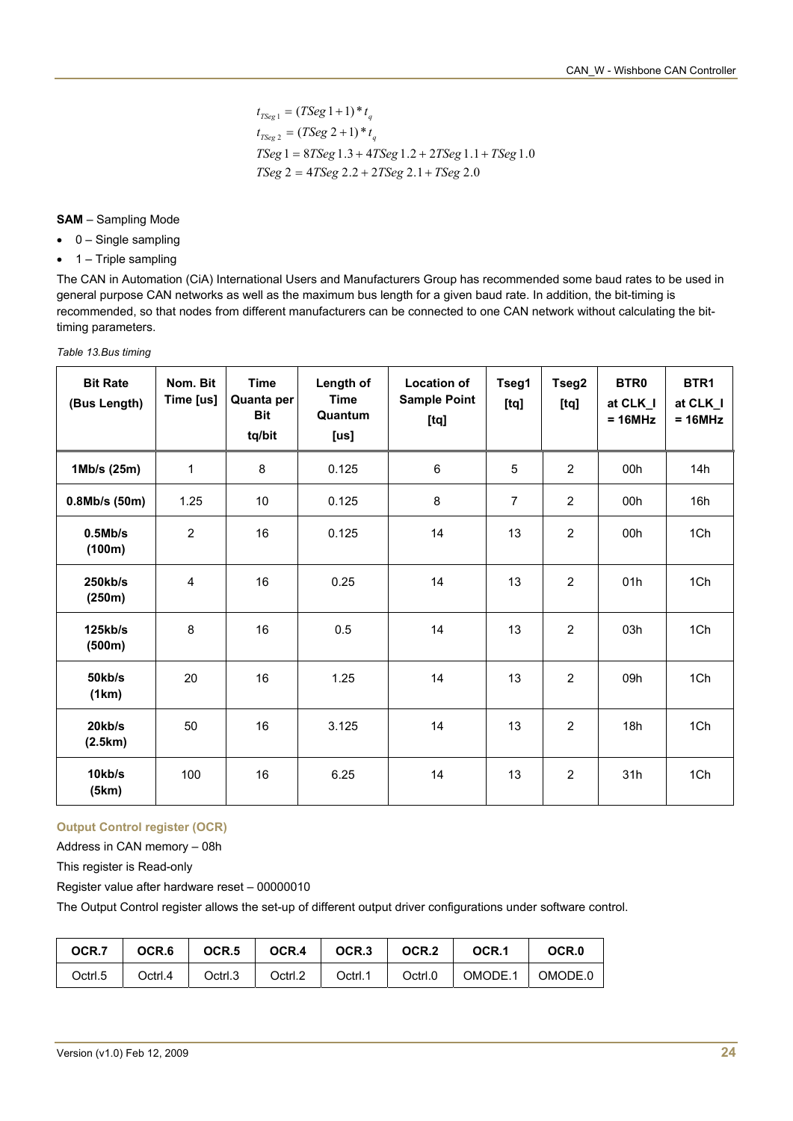$$
t_{TSeg1} = (TSeg 1 + 1) * t_q
$$
  
\n
$$
t_{TSeg2} = (TSeg 2 + 1) * t_q
$$
  
\n
$$
TSeg 1 = 8TSeg 1.3 + 4TSeg 1.2 + 2TSeg 1.1 + TSeg 1.0
$$
  
\n
$$
TSeg 2 = 4TSeg 2.2 + 2TSeg 2.1 + TSeg 2.0
$$

#### **SAM** – Sampling Mode

- 0 Single sampling
- $\bullet$  1 Triple sampling

The CAN in Automation (CiA) International Users and Manufacturers Group has recommended some baud rates to be used in general purpose CAN networks as well as the maximum bus length for a given baud rate. In addition, the bit-timing is recommended, so that nodes from different manufacturers can be connected to one CAN network without calculating the bittiming parameters.

| <b>Bit Rate</b><br>(Bus Length) | Nom. Bit<br>Time [us] | <b>Time</b><br>Quanta per<br><b>Bit</b><br>tq/bit | Length of<br><b>Time</b><br>Quantum<br>[us] | <b>Location of</b><br><b>Sample Point</b><br>[tq] | Tseg1<br>[tq] | Tseg2<br>[tq]  | BTR <sub>0</sub><br>at CLK_I<br>$= 16 MHz$ | BTR1<br>at CLK_I<br>$= 16$ MHz |
|---------------------------------|-----------------------|---------------------------------------------------|---------------------------------------------|---------------------------------------------------|---------------|----------------|--------------------------------------------|--------------------------------|
| 1Mb/s (25m)                     | 1                     | 8                                                 | 0.125                                       | $6\phantom{1}$                                    | 5             | $\overline{2}$ | 00h                                        | 14h                            |
| 0.8Mb/s(50m)                    | 1.25                  | 10                                                | 0.125                                       | 8                                                 | 7             | $\overline{2}$ | 00h                                        | 16h                            |
| 0.5Mb/s<br>(100m)               | $\overline{2}$        | 16                                                | 0.125                                       | 14                                                | 13            | $\overline{2}$ | 00h                                        | 1Ch                            |
| 250kb/s<br>(250m)               | 4                     | 16                                                | 0.25                                        | 14                                                | 13            | $\overline{2}$ | 01h                                        | 1Ch                            |
| 125kb/s<br>(500m)               | 8                     | 16                                                | 0.5                                         | 14                                                | 13            | $\overline{2}$ | 03h                                        | 1Ch                            |
| 50kb/s<br>(1km)                 | 20                    | 16                                                | 1.25                                        | 14                                                | 13            | $\overline{2}$ | 09h                                        | 1Ch                            |
| 20kb/s<br>(2.5km)               | 50                    | 16                                                | 3.125                                       | 14                                                | 13            | $\overline{2}$ | 18h                                        | 1Ch                            |
| 10kb/s<br>(5km)                 | 100                   | 16                                                | 6.25                                        | 14                                                | 13            | $\overline{2}$ | 31h                                        | 1Ch                            |

*Table 13.Bus timing* 

## **Output Control register (OCR)**

Address in CAN memory – 08h

This register is Read-only

Register value after hardware reset – 00000010

The Output Control register allows the set-up of different output driver configurations under software control.

| OCR.7   | OCR.6   | OCR.5   | OCR.4   | OCR <sub>3</sub> | OCR <sub>2</sub> | OCR.1   | OCR.0   |
|---------|---------|---------|---------|------------------|------------------|---------|---------|
| Octrl.5 | Octrl.4 | Octrl.3 | Octrl.2 | Octrl.1          | Octrl.0          | OMODE.1 | OMODE.0 |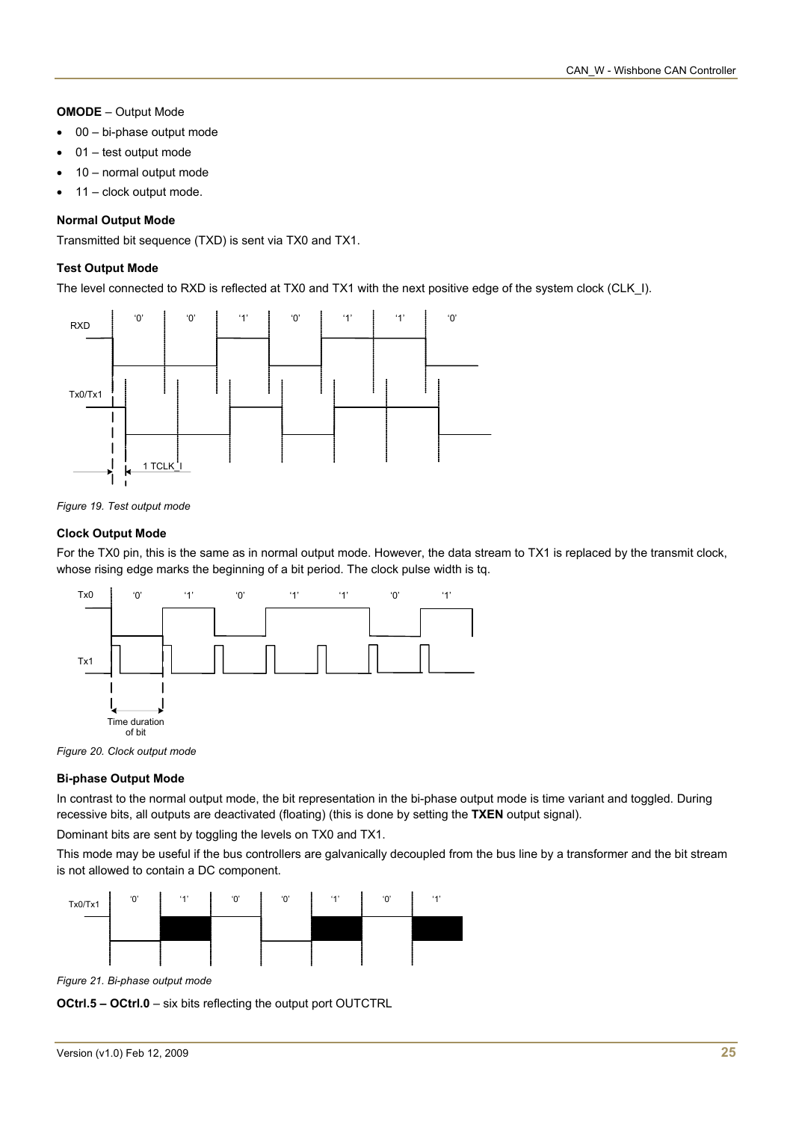#### **OMODE** – Output Mode

- 00 bi-phase output mode
- 01 test output mode
- 10 normal output mode
- 11 clock output mode.

### **Normal Output Mode**

Transmitted bit sequence (TXD) is sent via TX0 and TX1.

### **Test Output Mode**

The level connected to RXD is reflected at TX0 and TX1 with the next positive edge of the system clock (CLK\_I).



*Figure 19. Test output mode* 

#### **Clock Output Mode**

For the TX0 pin, this is the same as in normal output mode. However, the data stream to TX1 is replaced by the transmit clock. whose rising edge marks the beginning of a bit period. The clock pulse width is tq.



*Figure 20. Clock output mode* 

#### **Bi-phase Output Mode**

In contrast to the normal output mode, the bit representation in the bi-phase output mode is time variant and toggled. During recessive bits, all outputs are deactivated (floating) (this is done by setting the **TXEN** output signal).

Dominant bits are sent by toggling the levels on TX0 and TX1.

This mode may be useful if the bus controllers are galvanically decoupled from the bus line by a transformer and the bit stream is not allowed to contain a DC component.



*Figure 21. Bi-phase output mode* 

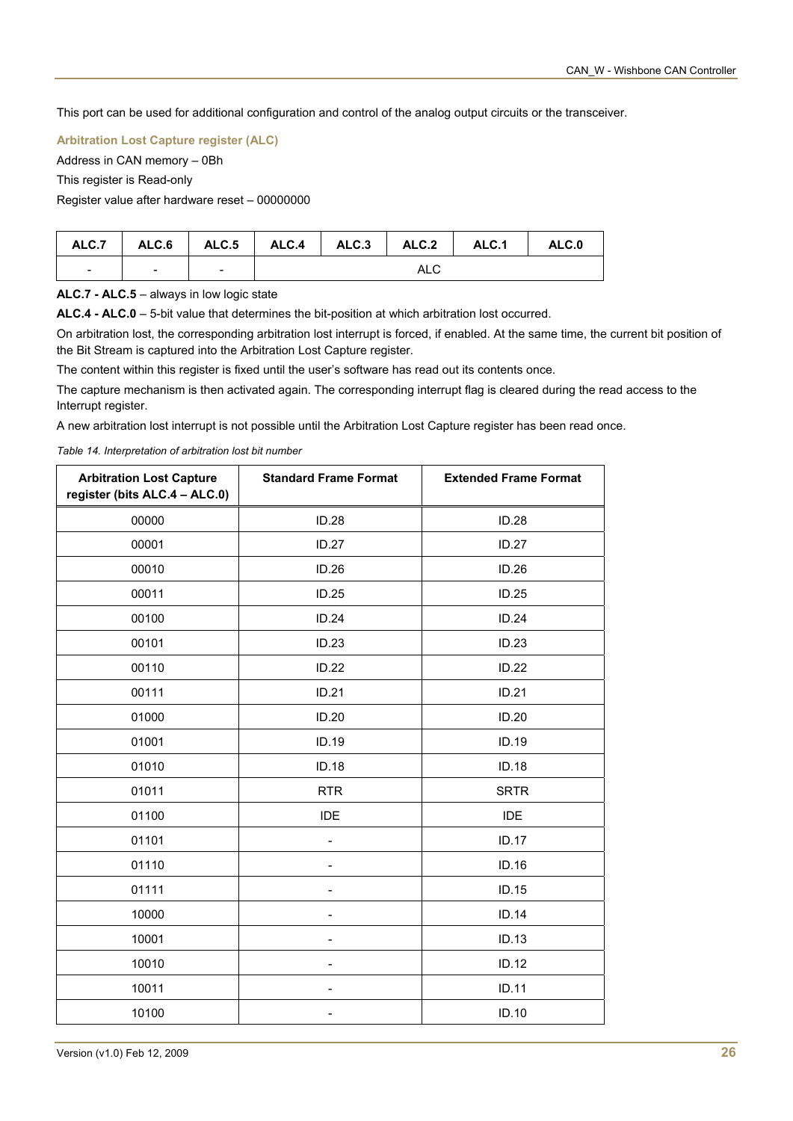This port can be used for additional configuration and control of the analog output circuits or the transceiver.

**Arbitration Lost Capture register (ALC)** 

Address in CAN memory – 0Bh

This register is Read-only

Register value after hardware reset – 00000000

|                          |                          |                          |     |  |  | ALC.7   ALC.6   ALC.5   ALC.4   ALC.3   ALC.2   ALC.1 | ALC.0 |
|--------------------------|--------------------------|--------------------------|-----|--|--|-------------------------------------------------------|-------|
| $\overline{\phantom{a}}$ | $\overline{\phantom{0}}$ | $\overline{\phantom{a}}$ | ALC |  |  |                                                       |       |

**ALC.7 - ALC.5** – always in low logic state

**ALC.4 - ALC.0** – 5-bit value that determines the bit-position at which arbitration lost occurred.

On arbitration lost, the corresponding arbitration lost interrupt is forced, if enabled. At the same time, the current bit position of the Bit Stream is captured into the Arbitration Lost Capture register.

The content within this register is fixed until the user's software has read out its contents once.

The capture mechanism is then activated again. The corresponding interrupt flag is cleared during the read access to the Interrupt register.

A new arbitration lost interrupt is not possible until the Arbitration Lost Capture register has been read once.

*Table 14. Interpretation of arbitration lost bit number* 

| <b>Arbitration Lost Capture</b><br>register (bits ALC.4 - ALC.0) | <b>Standard Frame Format</b> | <b>Extended Frame Format</b> |
|------------------------------------------------------------------|------------------------------|------------------------------|
| 00000                                                            | ID.28                        | <b>ID.28</b>                 |
| 00001                                                            | <b>ID.27</b>                 | <b>ID.27</b>                 |
| 00010                                                            | ID.26                        | ID.26                        |
| 00011                                                            | ID.25                        | ID.25                        |
| 00100                                                            | ID.24                        | ID.24                        |
| 00101                                                            | ID.23                        | ID.23                        |
| 00110                                                            | ID.22                        | <b>ID.22</b>                 |
| 00111                                                            | ID.21                        | ID.21                        |
| 01000                                                            | ID.20                        | ID.20                        |
| 01001                                                            | ID.19                        | ID.19                        |
| 01010                                                            | ID.18                        | ID.18                        |
| 01011                                                            | <b>RTR</b>                   | <b>SRTR</b>                  |
| 01100                                                            | <b>IDE</b>                   | <b>IDE</b>                   |
| 01101                                                            | $\overline{a}$               | <b>ID.17</b>                 |
| 01110                                                            |                              | ID.16                        |
| 01111                                                            |                              | ID.15                        |
| 10000                                                            |                              | ID.14                        |
| 10001                                                            |                              | ID.13                        |
| 10010                                                            | ۰                            | ID.12                        |
| 10011                                                            |                              | ID.11                        |
| 10100                                                            |                              | ID.10                        |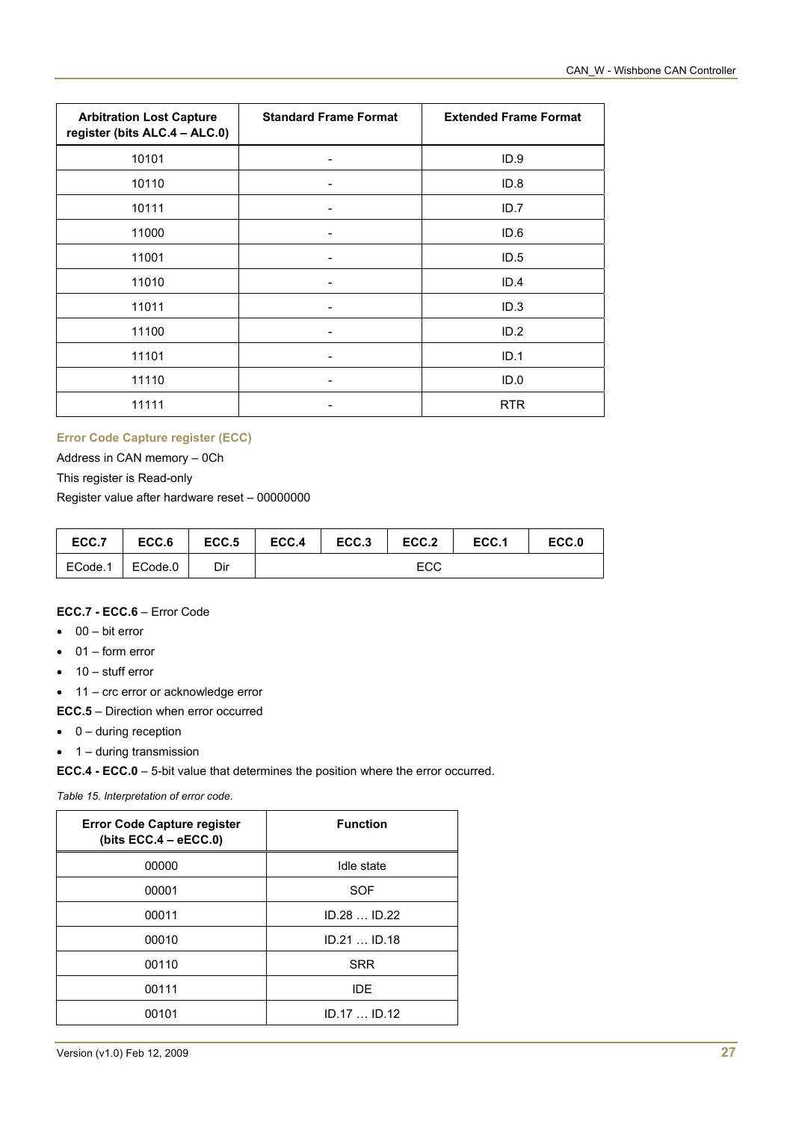| <b>Arbitration Lost Capture</b><br>register (bits ALC.4 - ALC.0) | <b>Standard Frame Format</b> | <b>Extended Frame Format</b> |
|------------------------------------------------------------------|------------------------------|------------------------------|
| 10101                                                            |                              | ID.9                         |
| 10110                                                            |                              | ID.8                         |
| 10111                                                            |                              | ID.7                         |
| 11000                                                            |                              | ID.6                         |
| 11001                                                            |                              | ID.5                         |
| 11010                                                            |                              | ID.4                         |
| 11011                                                            | ۰                            | ID.3                         |
| 11100                                                            |                              | ID.2                         |
| 11101                                                            |                              | ID.1                         |
| 11110                                                            |                              | ID.0                         |
| 11111                                                            |                              | <b>RTR</b>                   |

#### **Error Code Capture register (ECC)**

Address in CAN memory – 0Ch

This register is Read-only

Register value after hardware reset – 00000000

| ECC.7   | ECC.6   | ECC.5 | ECC.4 | ECC.3 | ECC.2 | ECC.1 | ECC.0 |
|---------|---------|-------|-------|-------|-------|-------|-------|
| ECode.1 | ECode.0 | Dir   |       |       | ECC   |       |       |

## **ECC.7 - ECC.6** – Error Code

- $\bullet$  00 bit error
- $\bullet$  01 form error
- $\bullet$  10 stuff error
- 11 crc error or acknowledge error

**ECC.5** – Direction when error occurred

- $\bullet$  0 during reception
- $\bullet$  1 during transmission

**ECC.4 - ECC.0** – 5-bit value that determines the position where the error occurred.

*Table 15. Interpretation of error code.* 

| <b>Error Code Capture register</b><br>(bits ECC.4 $-$ eECC.0) | <b>Function</b> |
|---------------------------------------------------------------|-----------------|
| 00000                                                         | Idle state      |
| 00001                                                         | SOF             |
| 00011                                                         | $ID.28$ $ID.22$ |
| 00010                                                         | ID.21  ID.18    |
| 00110                                                         | <b>SRR</b>      |
| 00111                                                         | <b>IDE</b>      |
| 00101                                                         | ID.17ID.12      |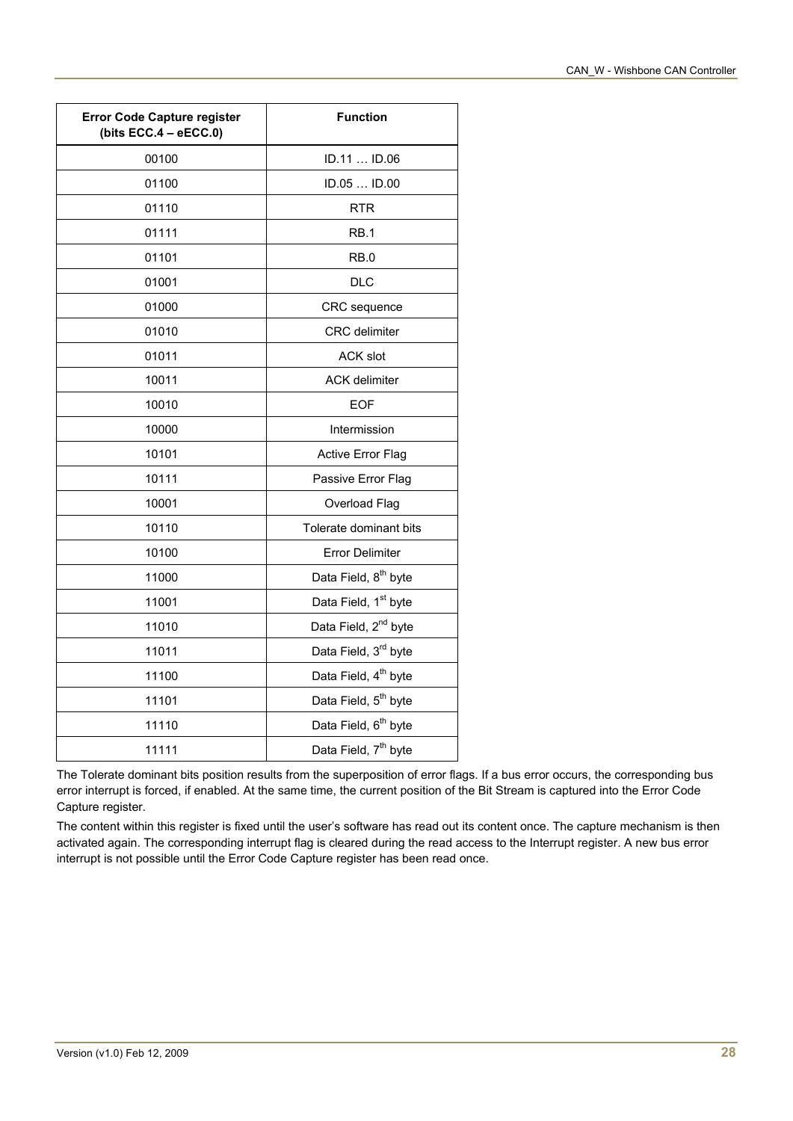| <b>Error Code Capture register</b><br>(bits ECC.4 - eECC.0) | <b>Function</b>                  |
|-------------------------------------------------------------|----------------------------------|
| 00100                                                       | ID.11  ID.06                     |
| 01100                                                       | ID.05  ID.00                     |
| 01110                                                       | <b>RTR</b>                       |
| 01111                                                       | RB.1                             |
| 01101                                                       | RB.0                             |
| 01001                                                       | <b>DLC</b>                       |
| 01000                                                       | CRC sequence                     |
| 01010                                                       | <b>CRC</b> delimiter             |
| 01011                                                       | <b>ACK slot</b>                  |
| 10011                                                       | <b>ACK delimiter</b>             |
| 10010                                                       | <b>EOF</b>                       |
| 10000                                                       | Intermission                     |
| 10101                                                       | <b>Active Error Flag</b>         |
| 10111                                                       | Passive Error Flag               |
| 10001                                                       | Overload Flag                    |
| 10110                                                       | Tolerate dominant bits           |
| 10100                                                       | <b>Error Delimiter</b>           |
| 11000                                                       | Data Field, 8 <sup>th</sup> byte |
| 11001                                                       | Data Field, 1 <sup>st</sup> byte |
| 11010                                                       | Data Field, 2 <sup>nd</sup> byte |
| 11011                                                       | Data Field, 3rd byte             |
| 11100                                                       | Data Field, 4 <sup>th</sup> byte |
| 11101                                                       | Data Field, 5 <sup>th</sup> byte |
| 11110                                                       | Data Field, 6 <sup>th</sup> byte |
| 11111                                                       | Data Field, 7 <sup>th</sup> byte |

The Tolerate dominant bits position results from the superposition of error flags. If a bus error occurs, the corresponding bus error interrupt is forced, if enabled. At the same time, the current position of the Bit Stream is captured into the Error Code Capture register.

The content within this register is fixed until the user's software has read out its content once. The capture mechanism is then activated again. The corresponding interrupt flag is cleared during the read access to the Interrupt register. A new bus error interrupt is not possible until the Error Code Capture register has been read once.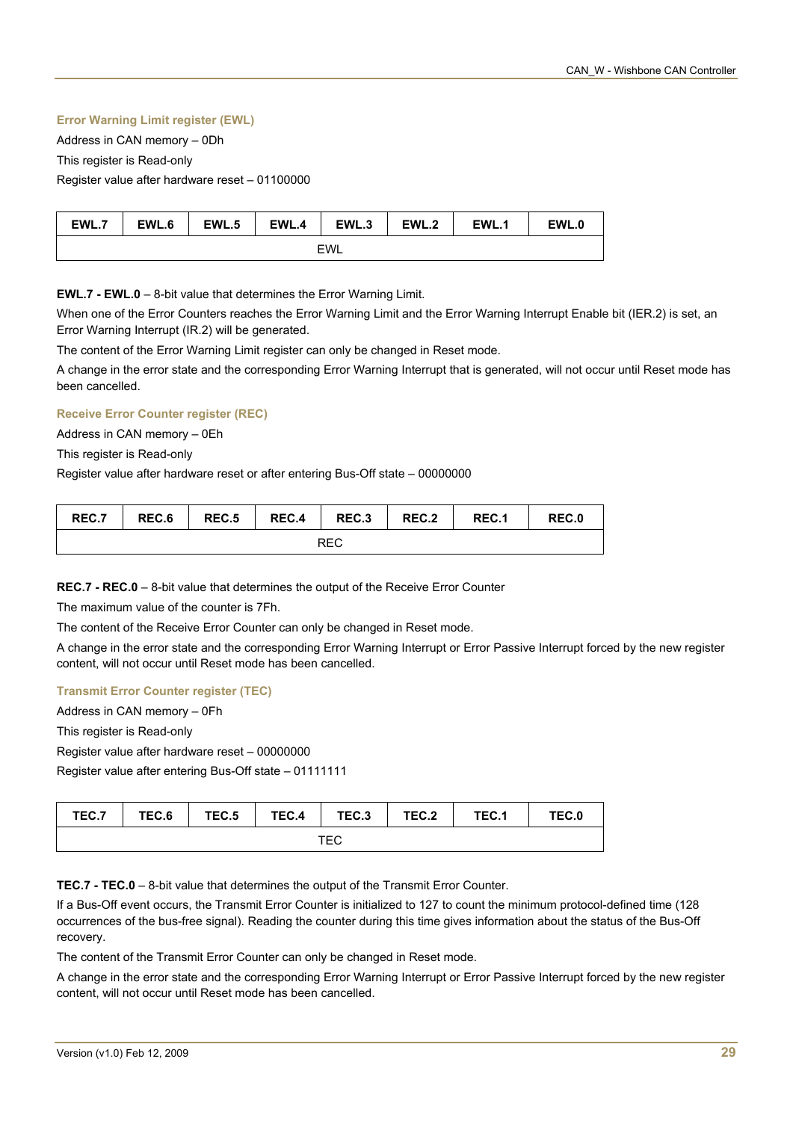#### **Error Warning Limit register (EWL)**

Address in CAN memory – 0Dh

This register is Read-only

Register value after hardware reset – 01100000

| EWL.، | EWL.6 | EWL.5 | EWL.4 | EWL.3      | EWL.2 | EWL. . | EWL.0 |
|-------|-------|-------|-------|------------|-------|--------|-------|
|       |       |       |       | <b>EWL</b> |       |        |       |

**EWL.7 - EWL.0** – 8-bit value that determines the Error Warning Limit.

When one of the Error Counters reaches the Error Warning Limit and the Error Warning Interrupt Enable bit (IER.2) is set, an Error Warning Interrupt (IR.2) will be generated.

The content of the Error Warning Limit register can only be changed in Reset mode.

A change in the error state and the corresponding Error Warning Interrupt that is generated, will not occur until Reset mode has been cancelled.

#### **Receive Error Counter register (REC)**

Address in CAN memory – 0Eh

This register is Read-only

Register value after hardware reset or after entering Bus-Off state – 00000000

| REC.7 | REC.6 |  | REC.5 REC.4 REC.3 REC.2 $\vert$ | REC.1 | REC.0 |
|-------|-------|--|---------------------------------|-------|-------|
|       |       |  | REC                             |       |       |

**REC.7 - REC.0** – 8-bit value that determines the output of the Receive Error Counter

The maximum value of the counter is 7Fh.

The content of the Receive Error Counter can only be changed in Reset mode.

A change in the error state and the corresponding Error Warning Interrupt or Error Passive Interrupt forced by the new register content, will not occur until Reset mode has been cancelled.

#### **Transmit Error Counter register (TEC)**

Address in CAN memory – 0Fh

This register is Read-only

Register value after hardware reset – 00000000

Register value after entering Bus-Off state – 01111111

| TEC.7 | TEC.6 | TEC.5 | TEC.4 |     | TEC.3   TEC.2 | TEC.1 | TEC.0 |
|-------|-------|-------|-------|-----|---------------|-------|-------|
|       |       |       |       | TEC |               |       |       |

**TEC.7 - TEC.0** – 8-bit value that determines the output of the Transmit Error Counter.

If a Bus-Off event occurs, the Transmit Error Counter is initialized to 127 to count the minimum protocol-defined time (128 occurrences of the bus-free signal). Reading the counter during this time gives information about the status of the Bus-Off recovery.

The content of the Transmit Error Counter can only be changed in Reset mode.

A change in the error state and the corresponding Error Warning Interrupt or Error Passive Interrupt forced by the new register content, will not occur until Reset mode has been cancelled.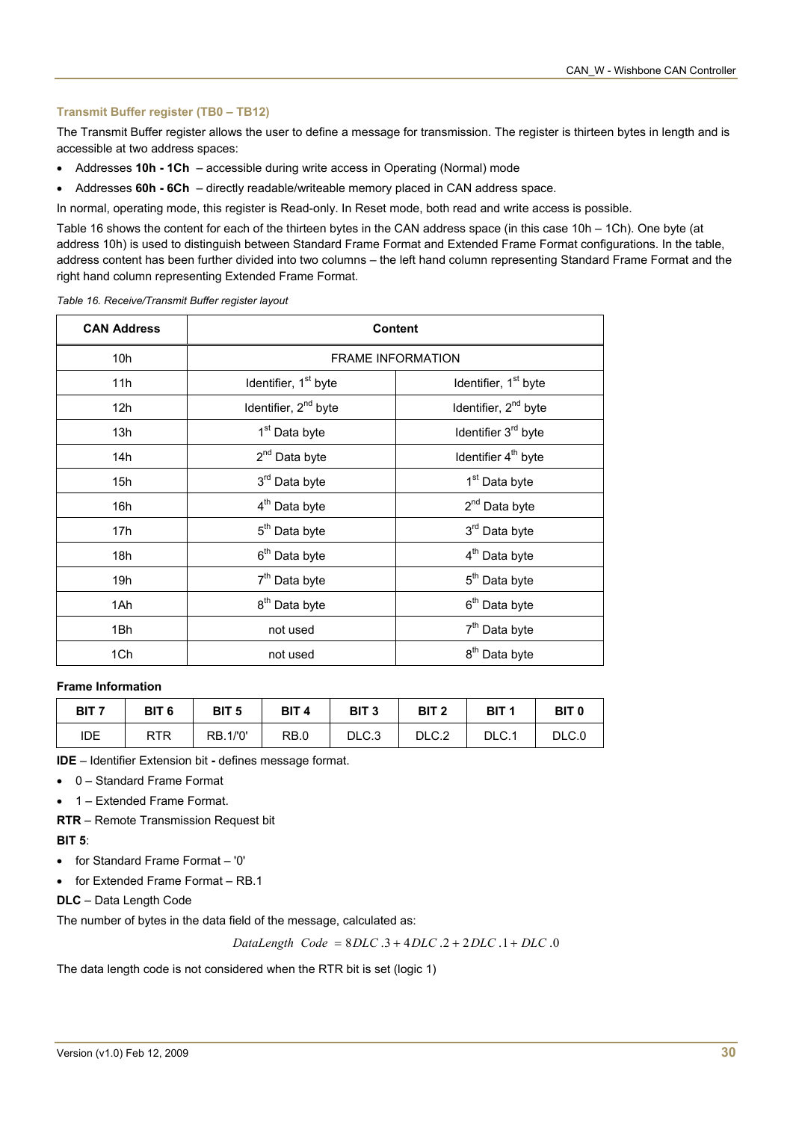#### **Transmit Buffer register (TB0 – TB12)**

The Transmit Buffer register allows the user to define a message for transmission. The register is thirteen bytes in length and is accessible at two address spaces:

- Addresses **10h 1Ch** accessible during write access in Operating (Normal) mode
- Addresses **60h 6Ch** directly readable/writeable memory placed in CAN address space.

In normal, operating mode, this register is Read-only. In Reset mode, both read and write access is possible.

[Table 16](#page-29-0) shows the content for each of the thirteen bytes in the CAN address space (in this case 10h – 1Ch). One byte (at address 10h) is used to distinguish between Standard Frame Format and Extended Frame Format configurations. In the table, address content has been further divided into two columns – the left hand column representing Standard Frame Format and the right hand column representing Extended Frame Format.

<span id="page-29-0"></span>*Table 16. Receive/Transmit Buffer register layout* 

| <b>CAN Address</b> |                                  | <b>Content</b>                   |
|--------------------|----------------------------------|----------------------------------|
| 10 <sub>h</sub>    |                                  | <b>FRAME INFORMATION</b>         |
| 11h                | Identifier, 1 <sup>st</sup> byte | Identifier, 1 <sup>st</sup> byte |
| 12 <sub>h</sub>    | Identifier, 2 <sup>nd</sup> byte | Identifier, 2 <sup>nd</sup> byte |
| 13h                | 1 <sup>st</sup> Data byte        | Identifier 3 <sup>rd</sup> byte  |
| 14h                | 2 <sup>nd</sup> Data byte        | Identifier 4 <sup>th</sup> byte  |
| 15h                | 3rd Data byte                    | 1 <sup>st</sup> Data byte        |
| 16h                | 4 <sup>th</sup> Data byte        | $2^{nd}$ Data byte               |
| 17 <sub>h</sub>    | 5 <sup>th</sup> Data byte        | 3rd Data byte                    |
| 18h                | 6 <sup>th</sup> Data byte        | 4 <sup>th</sup> Data byte        |
| 19h                | 7 <sup>th</sup> Data byte        | 5 <sup>th</sup> Data byte        |
| 1Ah                | 8 <sup>th</sup> Data byte        | 6 <sup>th</sup> Data byte        |
| 1Bh                | not used                         | 7 <sup>th</sup> Data byte        |
| 1Ch                | not used                         | 8 <sup>th</sup> Data byte        |

#### **Frame Information**

| BIT 7 | BIT <sub>6</sub> | BIT <sub>5</sub> | BIT <sub>4</sub> | BIT <sub>3</sub> | BIT <sub>2</sub> | BIT <sub>1</sub> | BIT <sub>0</sub> |
|-------|------------------|------------------|------------------|------------------|------------------|------------------|------------------|
| IDE   | <b>RTR</b>       | <b>RB.1/'0'</b>  | RB.0             | DLC.3            | DLC.2            | DLC.1            | DLC.0            |

**IDE** – Identifier Extension bit **-** defines message format.

- 0 Standard Frame Format
- 1 Extended Frame Format.

**RTR** – Remote Transmission Request bit

## **BIT 5**:

- for Standard Frame Format '0'
- for Extended Frame Format RB.1
- **DLC** Data Length Code

The number of bytes in the data field of the message, calculated as:

$$
DataLength\ Code = 8DLC.3 + 4DLC.2 + 2DLC.1 + DLC.0
$$

The data length code is not considered when the RTR bit is set (logic 1)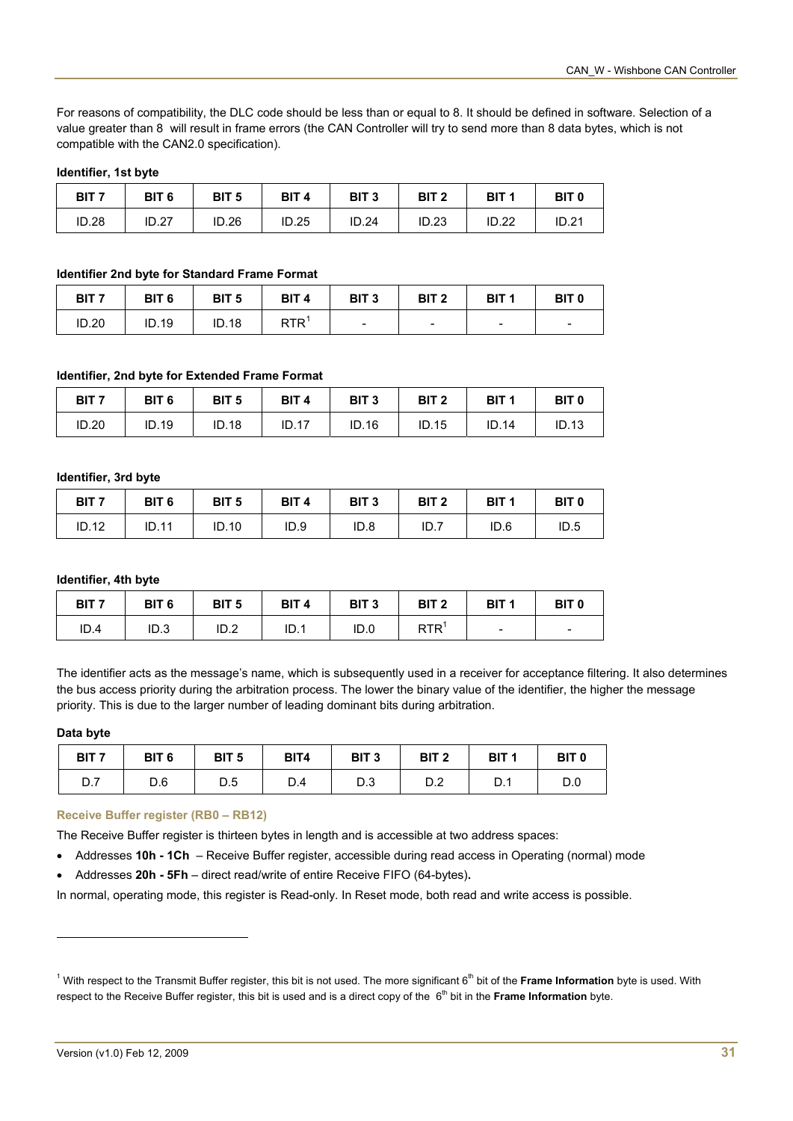For reasons of compatibility, the DLC code should be less than or equal to 8. It should be defined in software. Selection of a value greater than 8 will result in frame errors (the CAN Controller will try to send more than 8 data bytes, which is not compatible with the CAN2.0 specification).

#### **Identifier, 1st byte**

| BIT <sub>7</sub> | BIT <sub>6</sub> | BIT <sub>5</sub> | BIT <sub>4</sub> | BIT <sub>3</sub> | BIT <sub>2</sub> | BIT <sub>1</sub> | BIT <sub>0</sub> |
|------------------|------------------|------------------|------------------|------------------|------------------|------------------|------------------|
| ID.28            | <b>ID.27</b>     | ID.26            | ID.25            | ID.24            | ID.23            | ID.22            | ID.21            |

#### **Identifier 2nd byte for Standard Frame Format**

| BIT <sub>7</sub> | BIT <sub>6</sub> | BIT <sub>5</sub> | BIT <sub>4</sub> | BIT <sub>3</sub>         | BIT <sub>2</sub>         | BIT <sub>1</sub>         | BIT <sub>0</sub>         |
|------------------|------------------|------------------|------------------|--------------------------|--------------------------|--------------------------|--------------------------|
| ID.20            | ID.19            | <b>ID.18</b>     | <b>RTR</b>       | $\overline{\phantom{a}}$ | $\overline{\phantom{0}}$ | $\overline{\phantom{a}}$ | $\overline{\phantom{a}}$ |

#### **Identifier, 2nd byte for Extended Frame Format**

| BIT <sub>7</sub> | BIT <sub>6</sub> | BIT <sub>5</sub> | BIT <sub>4</sub> | BIT <sub>3</sub> | BIT <sub>2</sub> | BIT <sub>1</sub> | BIT <sub>0</sub> |
|------------------|------------------|------------------|------------------|------------------|------------------|------------------|------------------|
| ID.20            | ID.19            | <b>ID.18</b>     | <b>ID.17</b>     | ID.16            | ID.15            | ID.14            | ID.13            |

#### **Identifier, 3rd byte**

| BIT <sub>7</sub> | BIT <sub>6</sub> | BIT <sub>5</sub> | BIT <sub>4</sub> | BIT <sub>3</sub> | BIT <sub>2</sub> | BIT <sub>1</sub> | <b>BIT 0</b> |
|------------------|------------------|------------------|------------------|------------------|------------------|------------------|--------------|
| ID.12            | <b>ID.11</b>     | ID.10            | ID.9             | ID.8             | ID.7             | ID.6             | ID.5         |

#### **Identifier, 4th byte**

| BIT <sub>7</sub> | BIT <sub>6</sub> | BIT <sub>5</sub> | BIT <sub>4</sub> | BIT <sub>3</sub> | BIT <sub>2</sub> | BIT <sub>1</sub>         | BIT <sub>0</sub> |
|------------------|------------------|------------------|------------------|------------------|------------------|--------------------------|------------------|
| ID.4             | ID.3             | ID.2             | ID.1             | ID.0             | <b>RTR</b>       | $\overline{\phantom{a}}$ | -                |

The identifier acts as the message's name, which is subsequently used in a receiver for acceptance filtering. It also determines the bus access priority during the arbitration process. The lower the binary value of the identifier, the higher the message priority. This is due to the larger number of leading dominant bits during arbitration.

#### **Data byte**

l

| BIT <sub>7</sub> | BIT <sub>6</sub> | BIT <sub>5</sub> | BIT4 | BIT <sub>3</sub> | BIT <sub>2</sub> | BIT <sub>1</sub> | <b>BIT 0</b> |
|------------------|------------------|------------------|------|------------------|------------------|------------------|--------------|
| υ.ι              | D.6              | D.5              | D.4  | D.3              | D.Z              | D.1              | D.0          |

#### **Receive Buffer register (RB0 – RB12)**

The Receive Buffer register is thirteen bytes in length and is accessible at two address spaces:

- Addresses **10h 1Ch** Receive Buffer register, accessible during read access in Operating (normal) mode
- Addresses **20h 5Fh** direct read/write of entire Receive FIFO (64-bytes)**.**

In normal, operating mode, this register is Read-only. In Reset mode, both read and write access is possible.

<span id="page-30-0"></span><sup>&</sup>lt;sup>1</sup> With respect to the Transmit Buffer register, this bit is not used. The more significant 6<sup>th</sup> bit of the Frame Information byte is used. With respect to the Receive Buffer register, this bit is used and is a direct copy of the 6<sup>th</sup> bit in the Frame Information byte.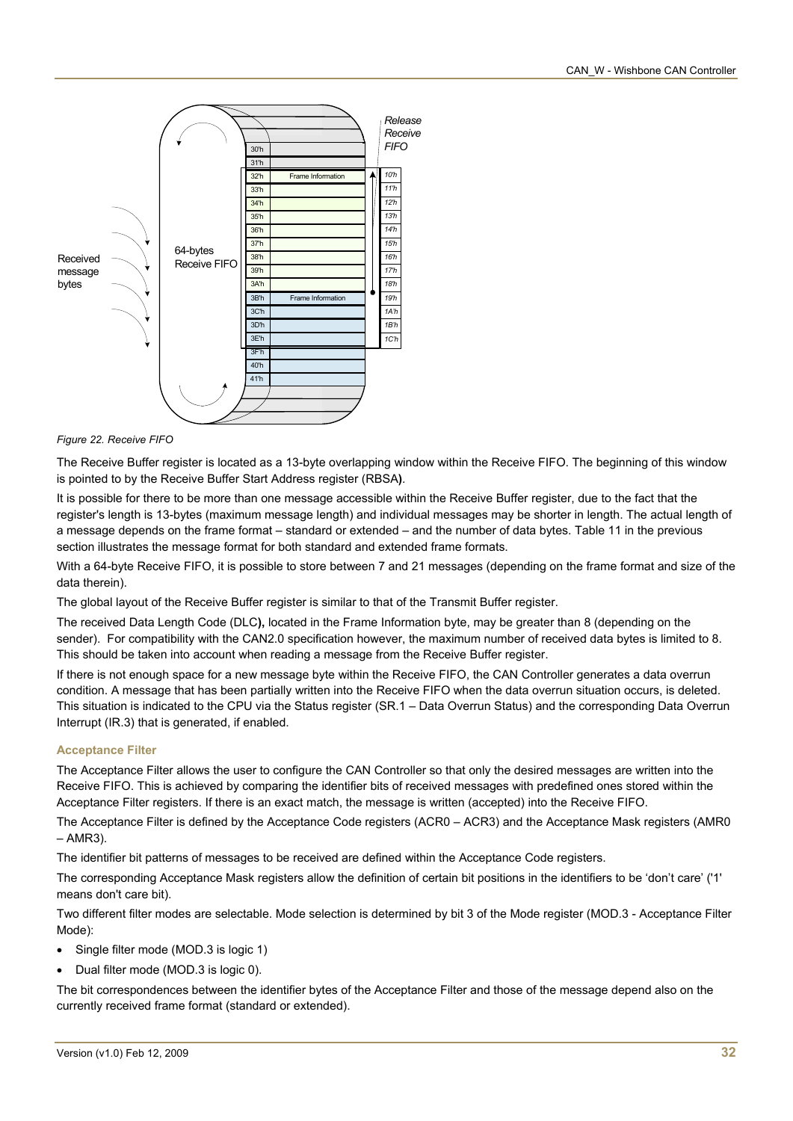

*Figure 22. Receive FIFO* 

The Receive Buffer register is located as a 13-byte overlapping window within the Receive FIFO. The beginning of this window is pointed to by the Receive Buffer Start Address register (RBSA**)**.

It is possible for there to be more than one message accessible within the Receive Buffer register, due to the fact that the register's length is 13-bytes (maximum message length) and individual messages may be shorter in length. The actual length of a message depends on the frame format – standard or extended – and the number of data bytes. Table 11 in the previous section illustrates the message format for both standard and extended frame formats.

With a 64-byte Receive FIFO, it is possible to store between 7 and 21 messages (depending on the frame format and size of the data therein).

The global layout of the Receive Buffer register is similar to that of the Transmit Buffer register.

The received Data Length Code (DLC**),** located in the Frame Information byte, may be greater than 8 (depending on the sender). For compatibility with the CAN2.0 specification however, the maximum number of received data bytes is limited to 8. This should be taken into account when reading a message from the Receive Buffer register.

If there is not enough space for a new message byte within the Receive FIFO, the CAN Controller generates a data overrun condition. A message that has been partially written into the Receive FIFO when the data overrun situation occurs, is deleted. This situation is indicated to the CPU via the Status register (SR.1 – Data Overrun Status) and the corresponding Data Overrun Interrupt (IR.3) that is generated, if enabled.

## **Acceptance Filter**

The Acceptance Filter allows the user to configure the CAN Controller so that only the desired messages are written into the Receive FIFO. This is achieved by comparing the identifier bits of received messages with predefined ones stored within the Acceptance Filter registers. If there is an exact match, the message is written (accepted) into the Receive FIFO.

The Acceptance Filter is defined by the Acceptance Code registers (ACR0 – ACR3) and the Acceptance Mask registers (AMR0  $- AMR3$ 

The identifier bit patterns of messages to be received are defined within the Acceptance Code registers.

The corresponding Acceptance Mask registers allow the definition of certain bit positions in the identifiers to be 'don't care' ('1' means don't care bit).

Two different filter modes are selectable. Mode selection is determined by bit 3 of the Mode register (MOD.3 - Acceptance Filter Mode):

- Single filter mode (MOD.3 is logic 1)
- Dual filter mode (MOD.3 is logic 0).

The bit correspondences between the identifier bytes of the Acceptance Filter and those of the message depend also on the currently received frame format (standard or extended).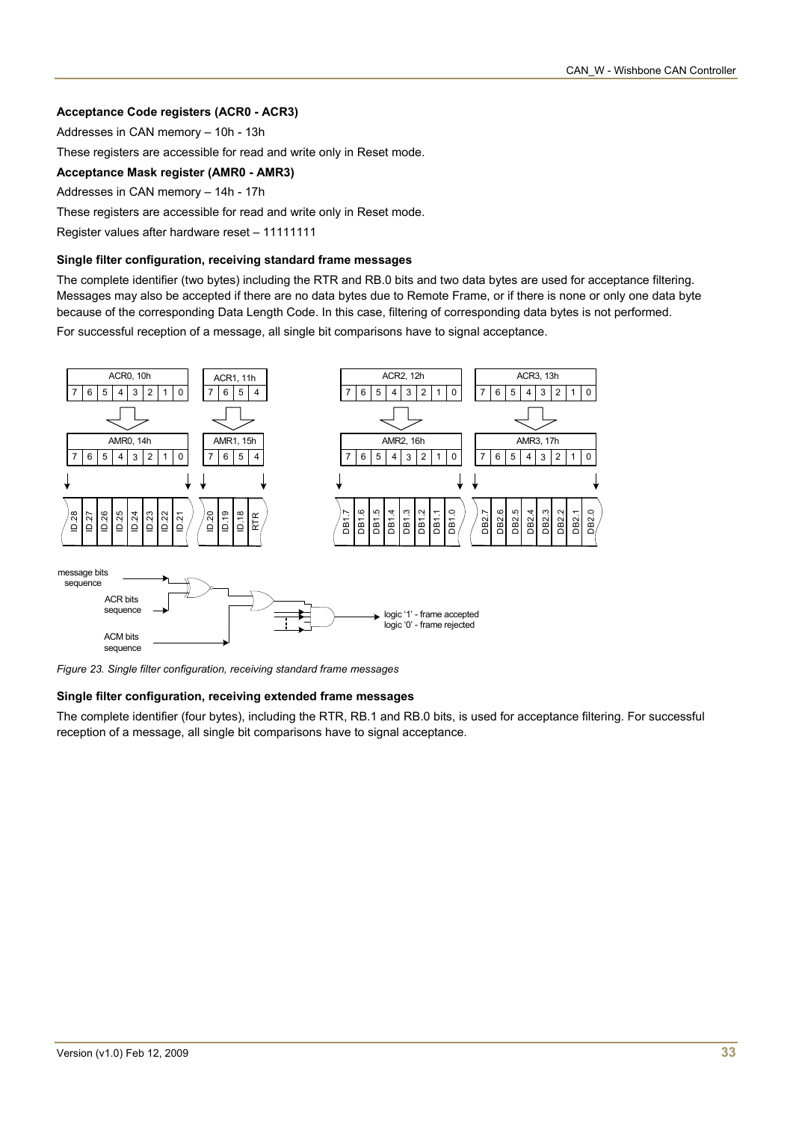## **Acceptance Code registers (ACR0 - ACR3)**

Addresses in CAN memory – 10h - 13h

These registers are accessible for read and write only in Reset mode.

#### **Acceptance Mask register (AMR0 - AMR3)**

Addresses in CAN memory – 14h - 17h

These registers are accessible for read and write only in Reset mode.

Register values after hardware reset – 11111111

#### **Single filter configuration, receiving standard frame messages**

The complete identifier (two bytes) including the RTR and RB.0 bits and two data bytes are used for acceptance filtering. Messages may also be accepted if there are no data bytes due to Remote Frame, or if there is none or only one data byte because of the corresponding Data Length Code. In this case, filtering of corresponding data bytes is not performed. For successful reception of a message, all single bit comparisons have to signal acceptance.



*Figure 23. Single filter configuration, receiving standard frame messages* 

#### **Single filter configuration, receiving extended frame messages**

The complete identifier (four bytes), including the RTR, RB.1 and RB.0 bits, is used for acceptance filtering. For successful reception of a message, all single bit comparisons have to signal acceptance.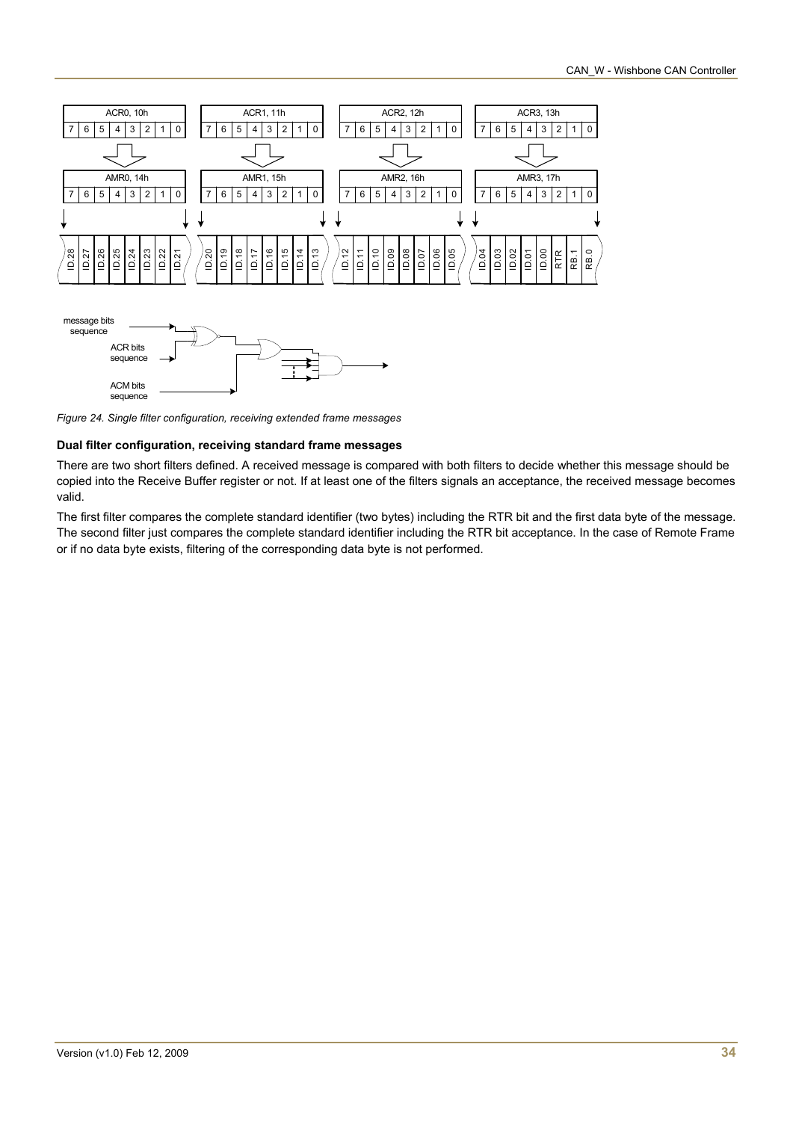



*Figure 24. Single filter configuration, receiving extended frame messages* 

#### **Dual filter configuration, receiving standard frame messages**

There are two short filters defined. A received message is compared with both filters to decide whether this message should be copied into the Receive Buffer register or not. If at least one of the filters signals an acceptance, the received message becomes valid.

The first filter compares the complete standard identifier (two bytes) including the RTR bit and the first data byte of the message. The second filter just compares the complete standard identifier including the RTR bit acceptance. In the case of Remote Frame or if no data byte exists, filtering of the corresponding data byte is not performed.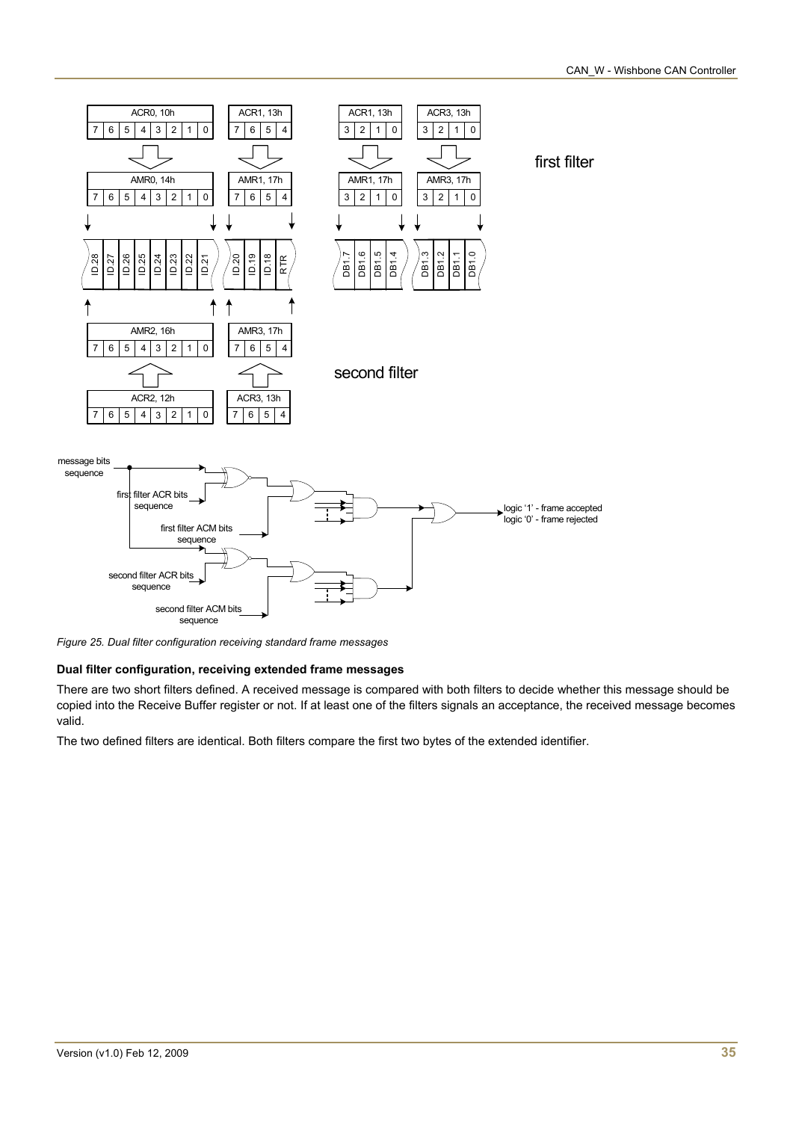

*Figure 25. Dual filter configuration receiving standard frame messages* 

## **Dual filter configuration, receiving extended frame messages**

There are two short filters defined. A received message is compared with both filters to decide whether this message should be copied into the Receive Buffer register or not. If at least one of the filters signals an acceptance, the received message becomes valid.

The two defined filters are identical. Both filters compare the first two bytes of the extended identifier.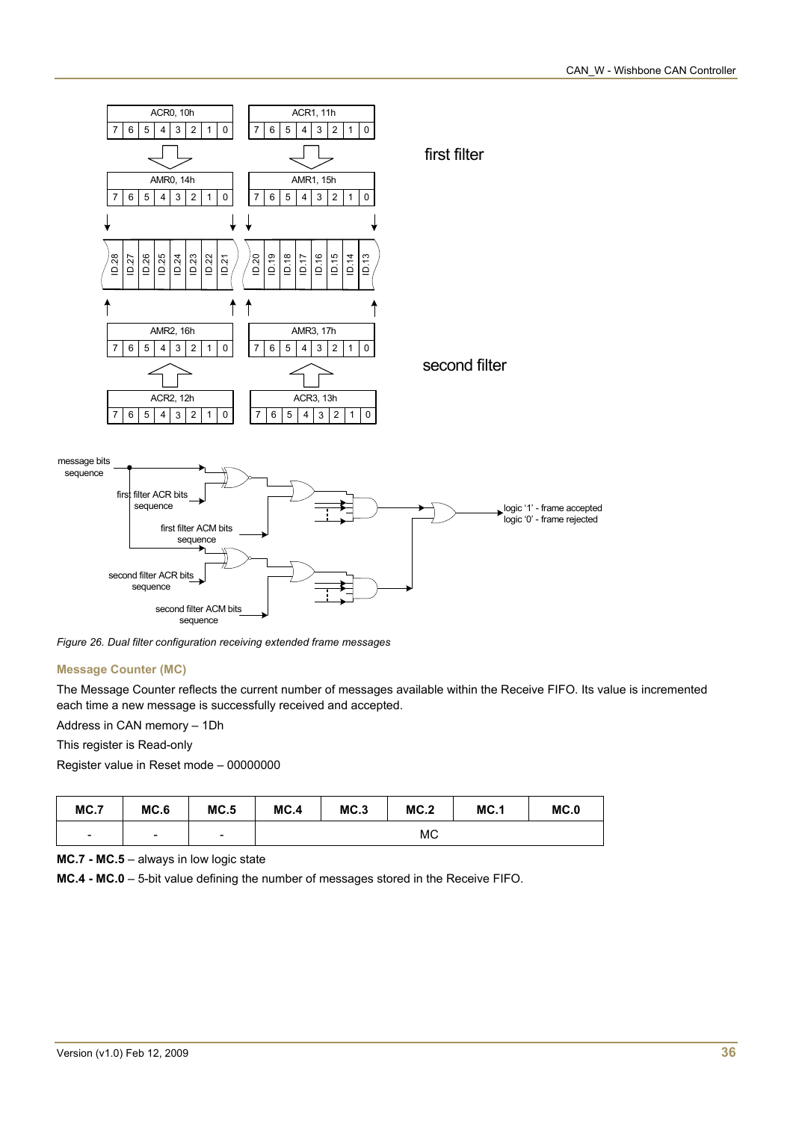

*Figure 26. Dual filter configuration receiving extended frame messages* 

#### **Message Counter (MC)**

The Message Counter reflects the current number of messages available within the Receive FIFO. Its value is incremented each time a new message is successfully received and accepted.

Address in CAN memory – 1Dh

This register is Read-only

Register value in Reset mode – 00000000

| MC.7 | MC.6                     | MC.5                     | MC.4 | MC.3 | MC.2 | MC.1 | MC.0 |
|------|--------------------------|--------------------------|------|------|------|------|------|
| -    | $\overline{\phantom{0}}$ | $\overline{\phantom{a}}$ |      |      | МC   |      |      |

**MC.7 - MC.5** – always in low logic state

**MC.4 - MC.0** – 5-bit value defining the number of messages stored in the Receive FIFO.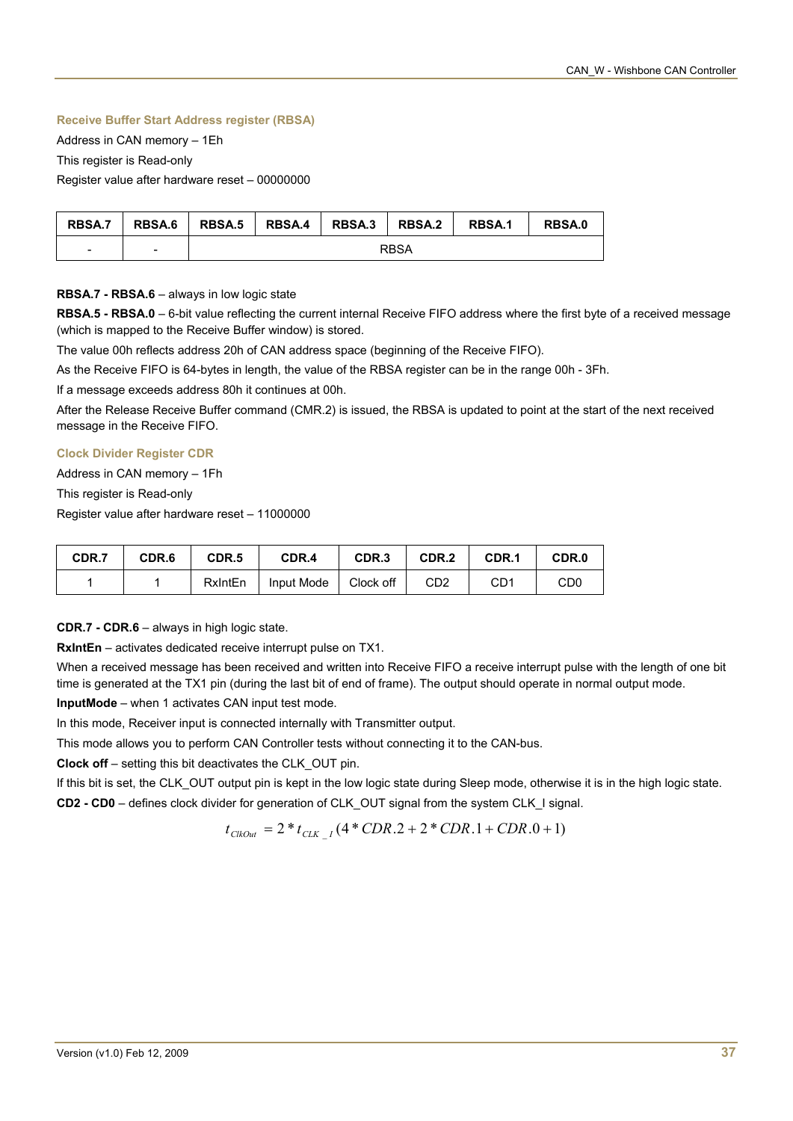#### **Receive Buffer Start Address register (RBSA)**

Address in CAN memory – 1Eh

This register is Read-only

Register value after hardware reset – 00000000

| RBSA.7                   |   | RBSA.6 RBSA.5 RBSA.4 RBSA.3 RBSA.2 |      |  |  | <b>RBSA.1</b> | <b>RBSA.0</b> |
|--------------------------|---|------------------------------------|------|--|--|---------------|---------------|
| $\overline{\phantom{0}}$ | - |                                    | RBSA |  |  |               |               |

#### **RBSA.7 - RBSA.6** – always in low logic state

**RBSA.5 - RBSA.0** – 6-bit value reflecting the current internal Receive FIFO address where the first byte of a received message (which is mapped to the Receive Buffer window) is stored.

The value 00h reflects address 20h of CAN address space (beginning of the Receive FIFO).

As the Receive FIFO is 64-bytes in length, the value of the RBSA register can be in the range 00h - 3Fh.

If a message exceeds address 80h it continues at 00h.

After the Release Receive Buffer command (CMR.2) is issued, the RBSA is updated to point at the start of the next received message in the Receive FIFO.

#### **Clock Divider Register CDR**

Address in CAN memory – 1Fh

This register is Read-only

Register value after hardware reset – 11000000

| CDR.7 | CDR.6 | CDR <sub>.5</sub> | CDR.4      | CDR <sub>3</sub> | CDR.2           | CDR.1 | CDR.0 |
|-------|-------|-------------------|------------|------------------|-----------------|-------|-------|
|       |       | <b>RxIntEn</b>    | Input Mode | Clock off        | CD <sub>2</sub> | CD1   | CD0   |

**CDR.7 - CDR.6** – always in high logic state.

**RxIntEn** – activates dedicated receive interrupt pulse on TX1.

When a received message has been received and written into Receive FIFO a receive interrupt pulse with the length of one bit time is generated at the TX1 pin (during the last bit of end of frame). The output should operate in normal output mode.

**InputMode** – when 1 activates CAN input test mode.

In this mode, Receiver input is connected internally with Transmitter output.

This mode allows you to perform CAN Controller tests without connecting it to the CAN-bus.

**Clock off** – setting this bit deactivates the CLK\_OUT pin.

If this bit is set, the CLK OUT output pin is kept in the low logic state during Sleep mode, otherwise it is in the high logic state.

**CD2 - CD0** – defines clock divider for generation of CLK\_OUT signal from the system CLK\_I signal.

 $t_{CkOut} = 2 * t_{CIK}$   $I(4 * CDR.2 + 2 * CDR.1 + CDR.0 + 1)$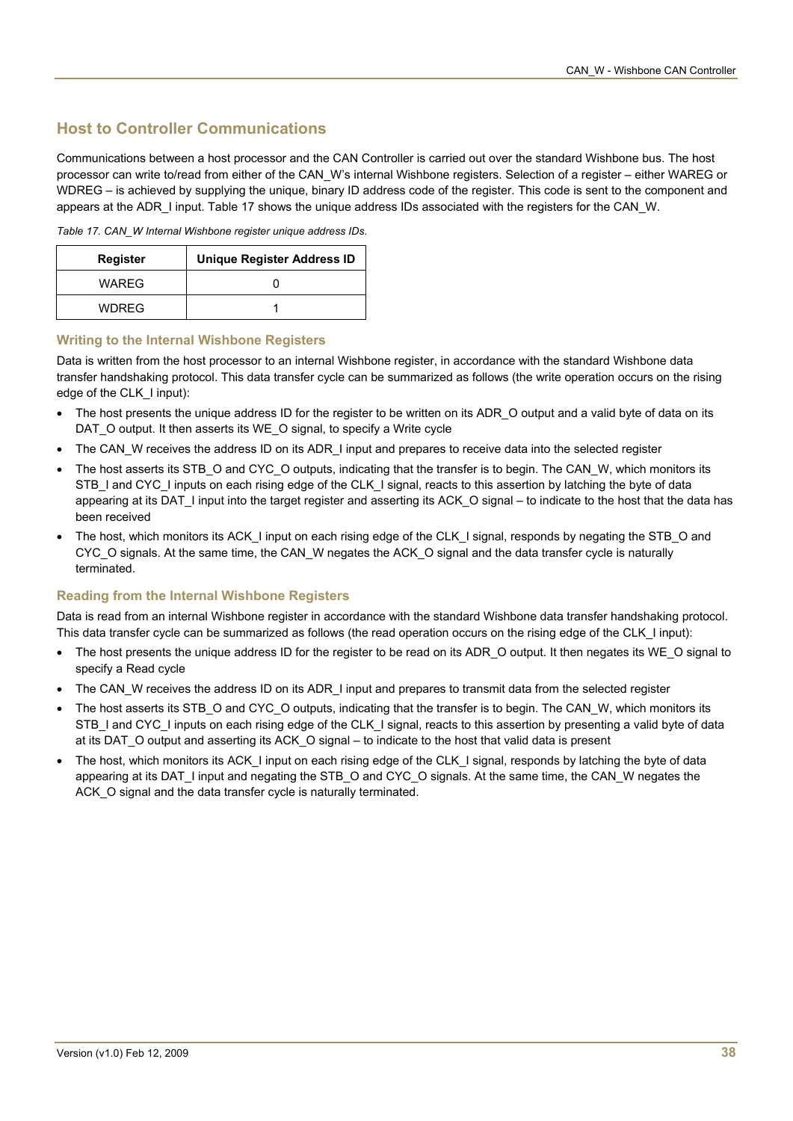# **Host to Controller Communications**

Communications between a host processor and the CAN Controller is carried out over the standard Wishbone bus. The host processor can write to/read from either of the CAN\_W's internal Wishbone registers. Selection of a register – either WAREG or WDREG – is achieved by supplying the unique, binary ID address code of the register. This code is sent to the component and appears at the ADR\_I input. [Table 17](#page-37-0) shows the unique address IDs associated with the registers for the CAN\_W.

<span id="page-37-0"></span>

|  |  | Table 17. CAN_W Internal Wishbone register unique address IDs. |
|--|--|----------------------------------------------------------------|
|--|--|----------------------------------------------------------------|

| Register     | <b>Unique Register Address ID</b> |
|--------------|-----------------------------------|
| WAREG        |                                   |
| <b>WDREG</b> |                                   |

## **Writing to the Internal Wishbone Registers**

Data is written from the host processor to an internal Wishbone register, in accordance with the standard Wishbone data transfer handshaking protocol. This data transfer cycle can be summarized as follows (the write operation occurs on the rising edge of the CLK I input):

- The host presents the unique address ID for the register to be written on its ADR\_O output and a valid byte of data on its DAT\_O output. It then asserts its WE\_O signal, to specify a Write cycle
- The CAN\_W receives the address ID on its ADR\_I input and prepares to receive data into the selected register
- The host asserts its STB\_O and CYC\_O outputs, indicating that the transfer is to begin. The CAN\_W, which monitors its STB\_I and CYC\_I inputs on each rising edge of the CLK\_I signal, reacts to this assertion by latching the byte of data appearing at its DAT. I input into the target register and asserting its ACK. O signal – to indicate to the host that the data has been received
- The host, which monitors its ACK I input on each rising edge of the CLK I signal, responds by negating the STB\_O and CYC\_O signals. At the same time, the CAN\_W negates the ACK\_O signal and the data transfer cycle is naturally terminated.

## **Reading from the Internal Wishbone Registers**

Data is read from an internal Wishbone register in accordance with the standard Wishbone data transfer handshaking protocol. This data transfer cycle can be summarized as follows (the read operation occurs on the rising edge of the CLK\_I input):

- The host presents the unique address ID for the register to be read on its ADR\_O output. It then negates its WE\_O signal to specify a Read cycle
- The CAN\_W receives the address ID on its ADR\_I input and prepares to transmit data from the selected register
- The host asserts its STB\_O and CYC\_O outputs, indicating that the transfer is to begin. The CAN\_W, which monitors its STB\_I and CYC\_I inputs on each rising edge of the CLK\_I signal, reacts to this assertion by presenting a valid byte of data at its DAT\_O output and asserting its ACK\_O signal – to indicate to the host that valid data is present
- The host, which monitors its ACK I input on each rising edge of the CLK I signal, responds by latching the byte of data appearing at its DAT\_I input and negating the STB\_O and CYC\_O signals. At the same time, the CAN\_W negates the ACK O signal and the data transfer cycle is naturally terminated.